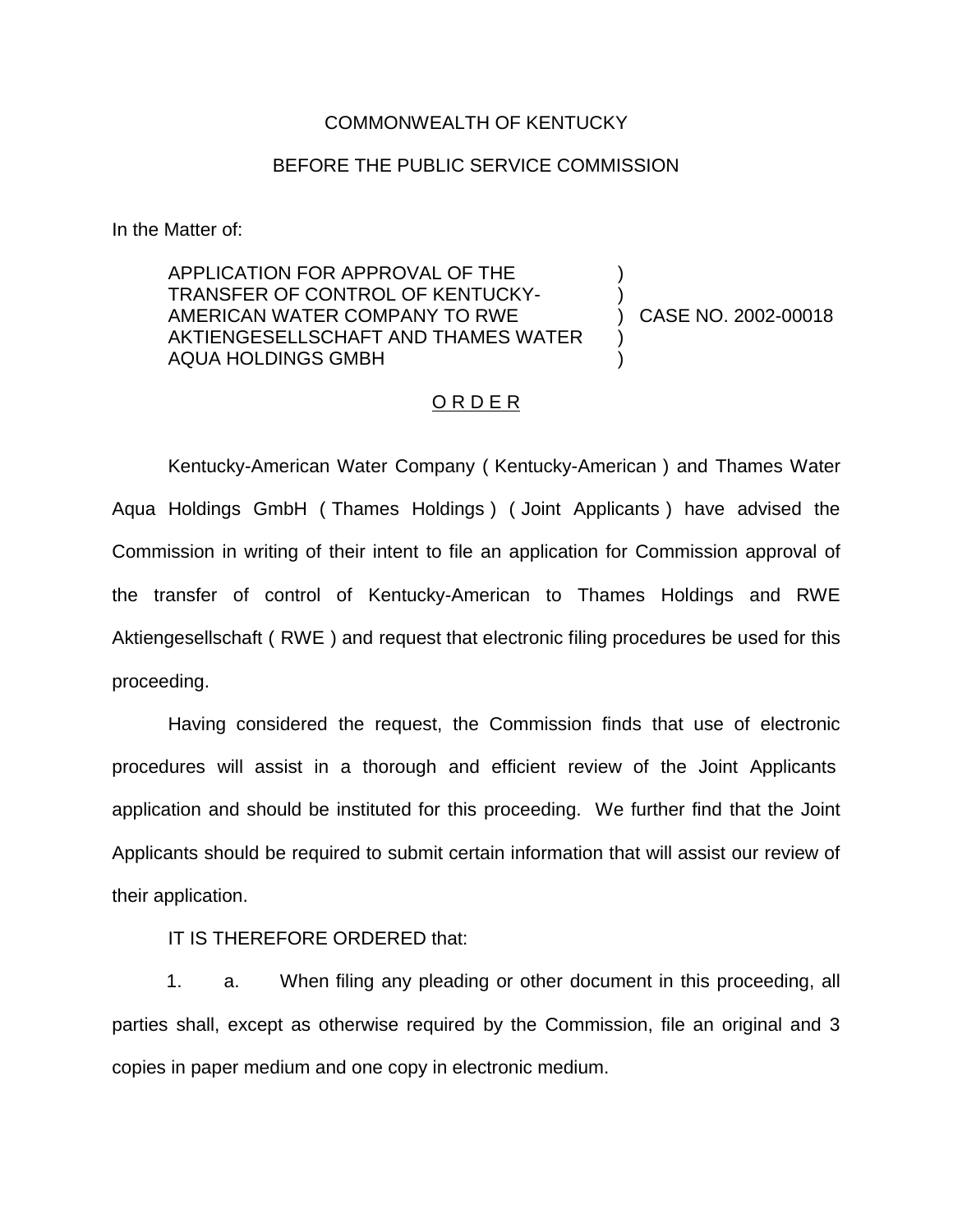#### COMMONWEALTH OF KENTUCKY

#### BEFORE THE PUBLIC SERVICE COMMISSION

In the Matter of:

APPLICATION FOR APPROVAL OF THE TRANSFER OF CONTROL OF KENTUCKY-AMERICAN WATER COMPANY TO RWE AKTIENGESELLSCHAFT AND THAMES WATER AQUA HOLDINGS GMBH

) CASE NO. 2002-00018

) )

) )

#### O R D E R

Kentucky-American Water Company ( Kentucky-American ) and Thames Water Aqua Holdings GmbH ( Thames Holdings ) ( Joint Applicants ) have advised the Commission in writing of their intent to file an application for Commission approval of the transfer of control of Kentucky-American to Thames Holdings and RWE Aktiengesellschaft ( RWE ) and request that electronic filing procedures be used for this proceeding.

Having considered the request, the Commission finds that use of electronic procedures will assist in a thorough and efficient review of the Joint Applicants application and should be instituted for this proceeding. We further find that the Joint Applicants should be required to submit certain information that will assist our review of their application.

IT IS THEREFORE ORDERED that:

1. a. When filing any pleading or other document in this proceeding, all parties shall, except as otherwise required by the Commission, file an original and 3 copies in paper medium and one copy in electronic medium.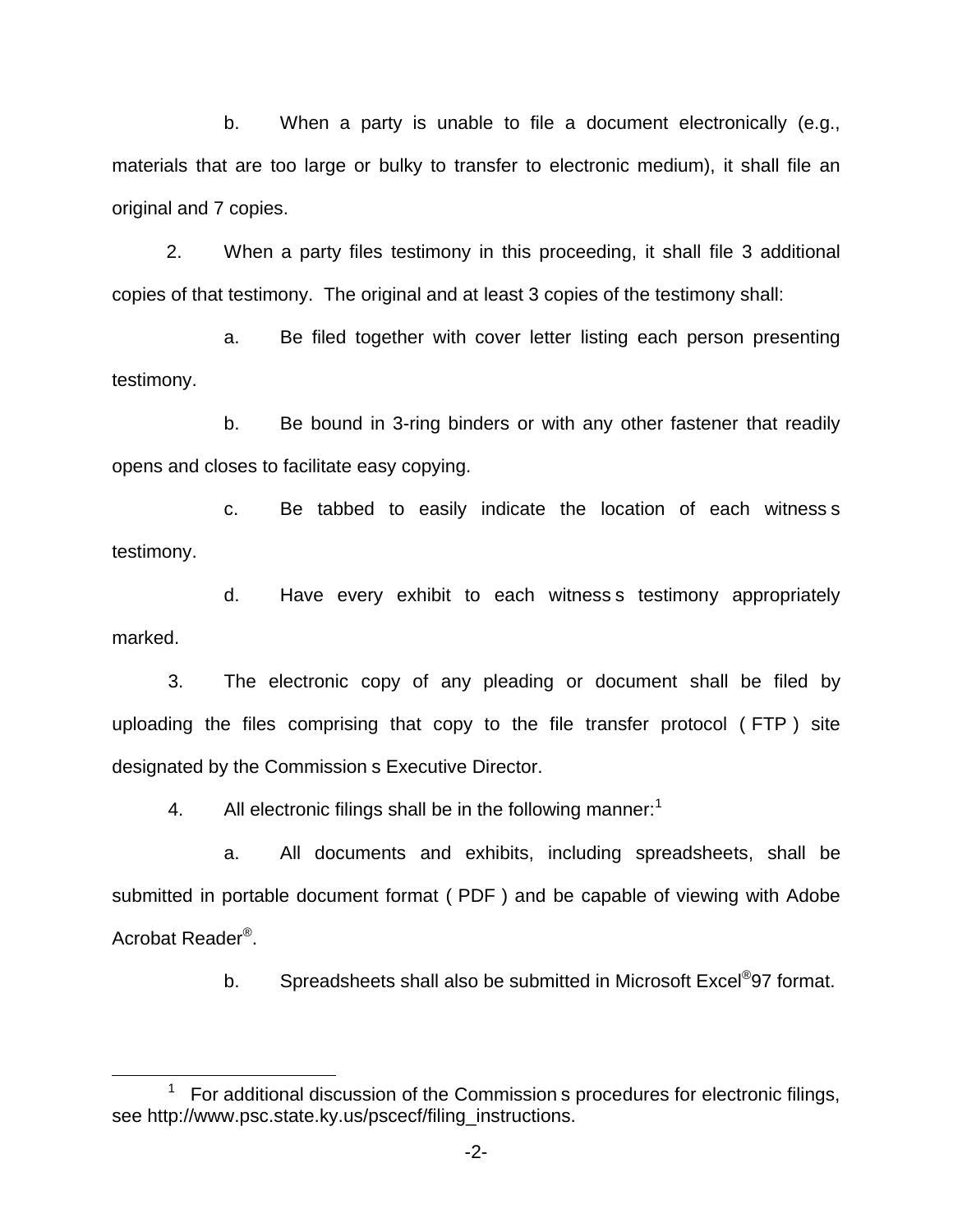b. When a party is unable to file a document electronically (e.g., materials that are too large or bulky to transfer to electronic medium), it shall file an original and 7 copies.

2. When a party files testimony in this proceeding, it shall file 3 additional copies of that testimony. The original and at least 3 copies of the testimony shall:

a. Be filed together with cover letter listing each person presenting testimony.

b. Be bound in 3-ring binders or with any other fastener that readily opens and closes to facilitate easy copying.

c. Be tabbed to easily indicate the location of each witness s testimony.

d. Have every exhibit to each witness s testimony appropriately marked.

3. The electronic copy of any pleading or document shall be filed by uploading the files comprising that copy to the file transfer protocol ( FTP ) site designated by the Commission s Executive Director.

4. All electronic filings shall be in the following manner:<sup>1</sup>

a. All documents and exhibits, including spreadsheets, shall be submitted in portable document format ( PDF ) and be capable of viewing with Adobe Acrobat Reader®.

b. Spreadsheets shall also be submitted in Microsoft Excel<sup>®</sup>97 format.

<sup>1</sup> For additional discussion of the Commission s procedures for electronic filings, see http://www.psc.state.ky.us/pscecf/filing\_instructions.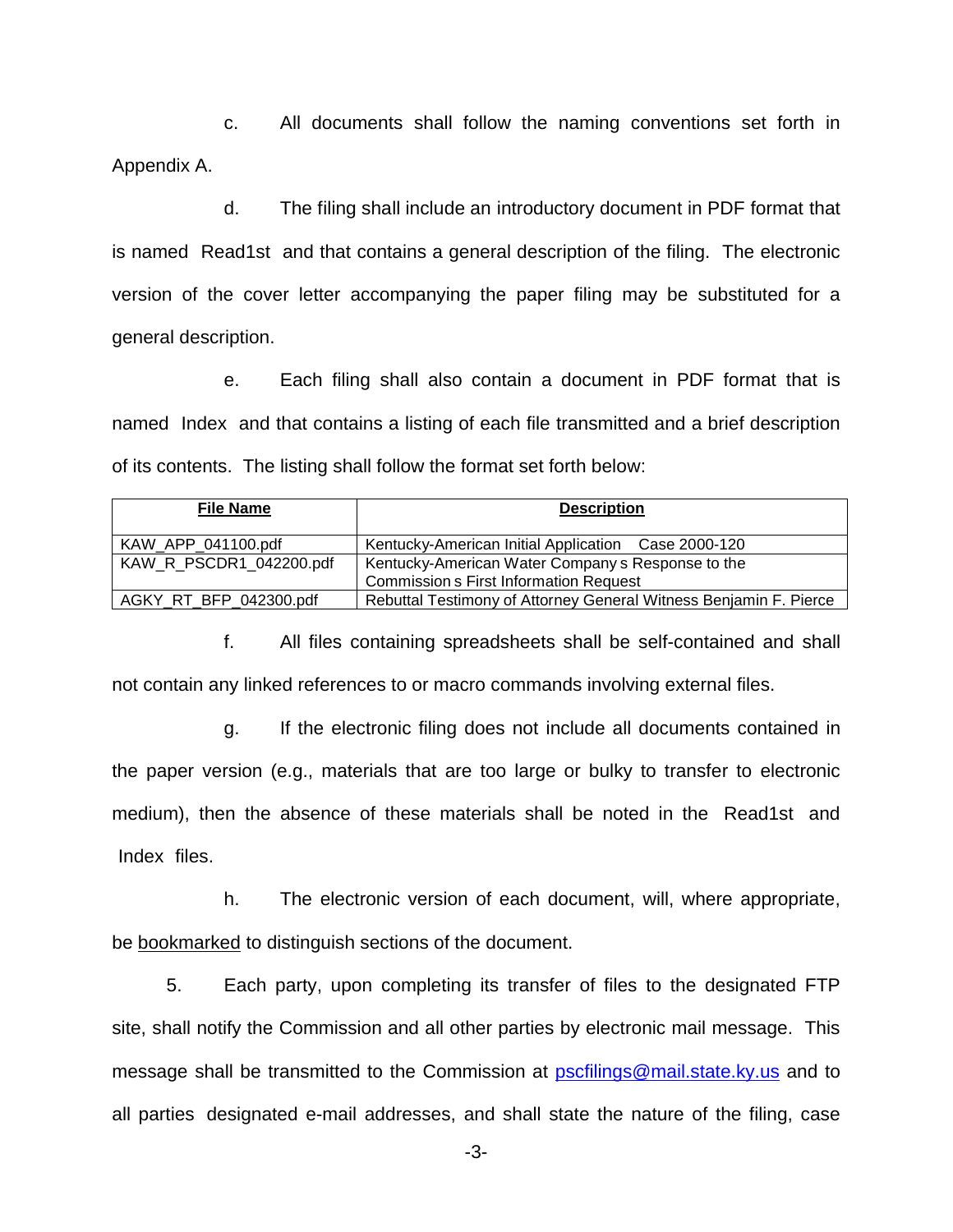c. All documents shall follow the naming conventions set forth in Appendix A.

d. The filing shall include an introductory document in PDF format that is named Read1st and that contains a general description of the filing. The electronic version of the cover letter accompanying the paper filing may be substituted for a general description.

e. Each filing shall also contain a document in PDF format that is named Index and that contains a listing of each file transmitted and a brief description of its contents. The listing shall follow the format set forth below:

| <b>File Name</b>        | <b>Description</b>                                                |
|-------------------------|-------------------------------------------------------------------|
| KAW APP 041100.pdf      | Kentucky-American Initial Application Case 2000-120               |
| KAW R PSCDR1 042200.pdf | Kentucky-American Water Company s Response to the                 |
|                         | <b>Commission s First Information Request</b>                     |
| AGKY RT BFP 042300.pdf  | Rebuttal Testimony of Attorney General Witness Benjamin F. Pierce |

f. All files containing spreadsheets shall be self-contained and shall not contain any linked references to or macro commands involving external files.

g. If the electronic filing does not include all documents contained in the paper version (e.g., materials that are too large or bulky to transfer to electronic medium), then the absence of these materials shall be noted in the Read1st and Index files.

h. The electronic version of each document, will, where appropriate, be bookmarked to distinguish sections of the document.

5. Each party, upon completing its transfer of files to the designated FTP site, shall notify the Commission and all other parties by electronic mail message. This message shall be transmitted to the Commission at pscfilings@mail.state.ky.us and to all parties designated e-mail addresses, and shall state the nature of the filing, case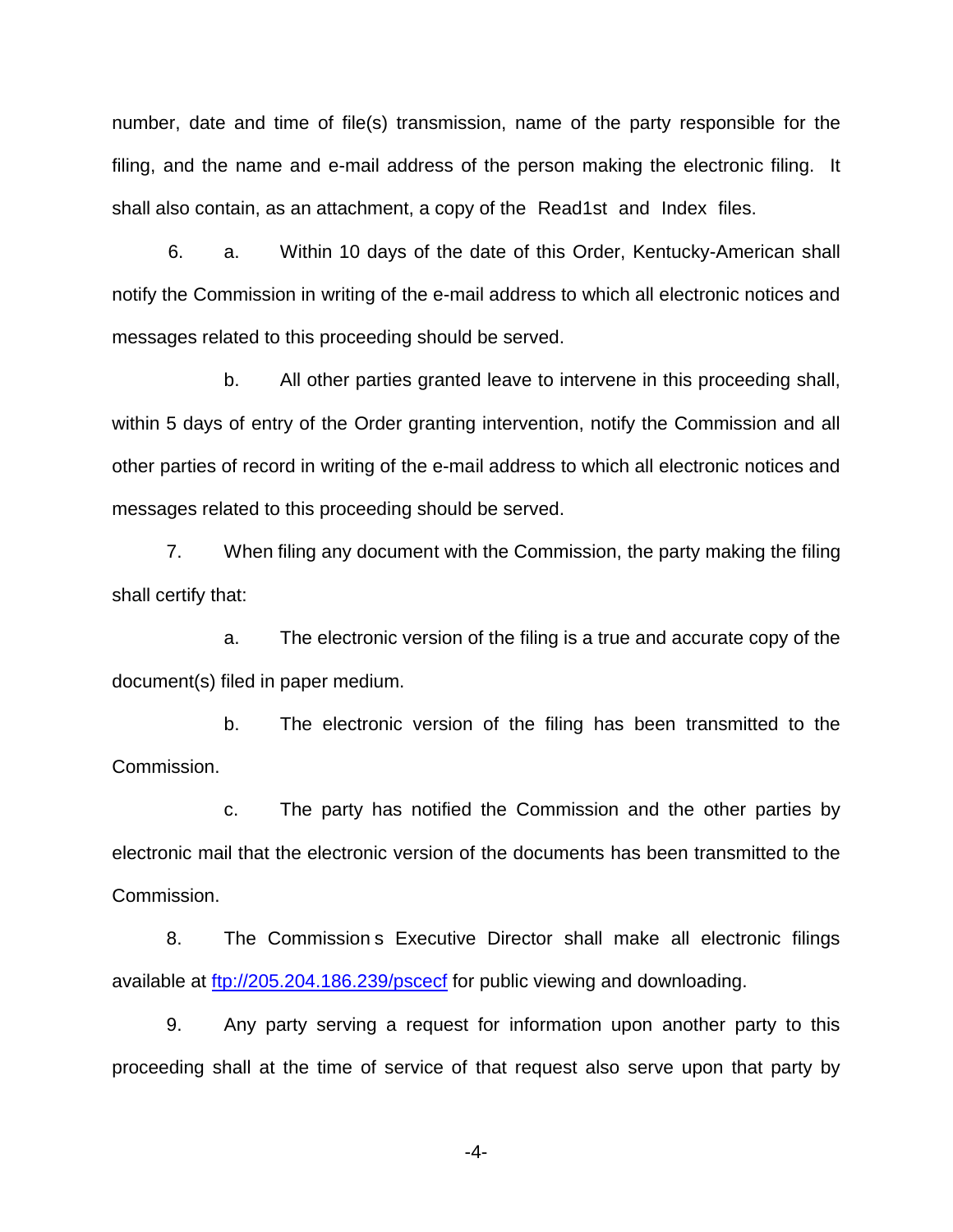number, date and time of file(s) transmission, name of the party responsible for the filing, and the name and e-mail address of the person making the electronic filing. It shall also contain, as an attachment, a copy of the Read1st and Index files.

6. a. Within 10 days of the date of this Order, Kentucky-American shall notify the Commission in writing of the e-mail address to which all electronic notices and messages related to this proceeding should be served.

b. All other parties granted leave to intervene in this proceeding shall, within 5 days of entry of the Order granting intervention, notify the Commission and all other parties of record in writing of the e-mail address to which all electronic notices and messages related to this proceeding should be served.

7. When filing any document with the Commission, the party making the filing shall certify that:

a. The electronic version of the filing is a true and accurate copy of the document(s) filed in paper medium.

b. The electronic version of the filing has been transmitted to the Commission.

c. The party has notified the Commission and the other parties by electronic mail that the electronic version of the documents has been transmitted to the Commission.

8. The Commission s Executive Director shall make all electronic filings available at<ftp://205.204.186.239/pscecf> for public viewing and downloading.

9. Any party serving a request for information upon another party to this proceeding shall at the time of service of that request also serve upon that party by

-4-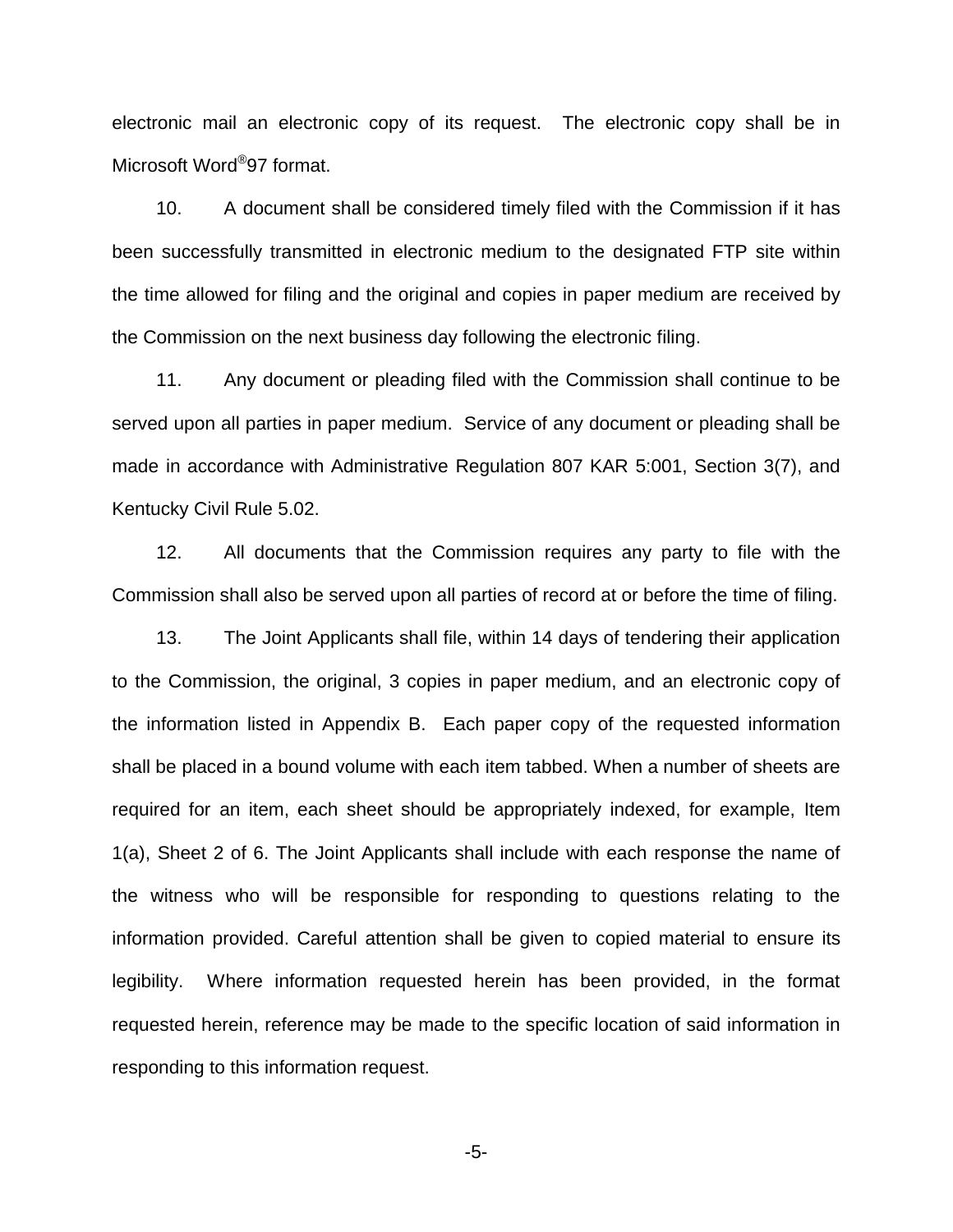electronic mail an electronic copy of its request. The electronic copy shall be in Microsoft Word®97 format.

10. A document shall be considered timely filed with the Commission if it has been successfully transmitted in electronic medium to the designated FTP site within the time allowed for filing and the original and copies in paper medium are received by the Commission on the next business day following the electronic filing.

11. Any document or pleading filed with the Commission shall continue to be served upon all parties in paper medium. Service of any document or pleading shall be made in accordance with Administrative Regulation 807 KAR 5:001, Section 3(7), and Kentucky Civil Rule 5.02.

12. All documents that the Commission requires any party to file with the Commission shall also be served upon all parties of record at or before the time of filing.

13. The Joint Applicants shall file, within 14 days of tendering their application to the Commission, the original, 3 copies in paper medium, and an electronic copy of the information listed in Appendix B. Each paper copy of the requested information shall be placed in a bound volume with each item tabbed. When a number of sheets are required for an item, each sheet should be appropriately indexed, for example, Item 1(a), Sheet 2 of 6. The Joint Applicants shall include with each response the name of the witness who will be responsible for responding to questions relating to the information provided. Careful attention shall be given to copied material to ensure its legibility. Where information requested herein has been provided, in the format requested herein, reference may be made to the specific location of said information in responding to this information request.

-5-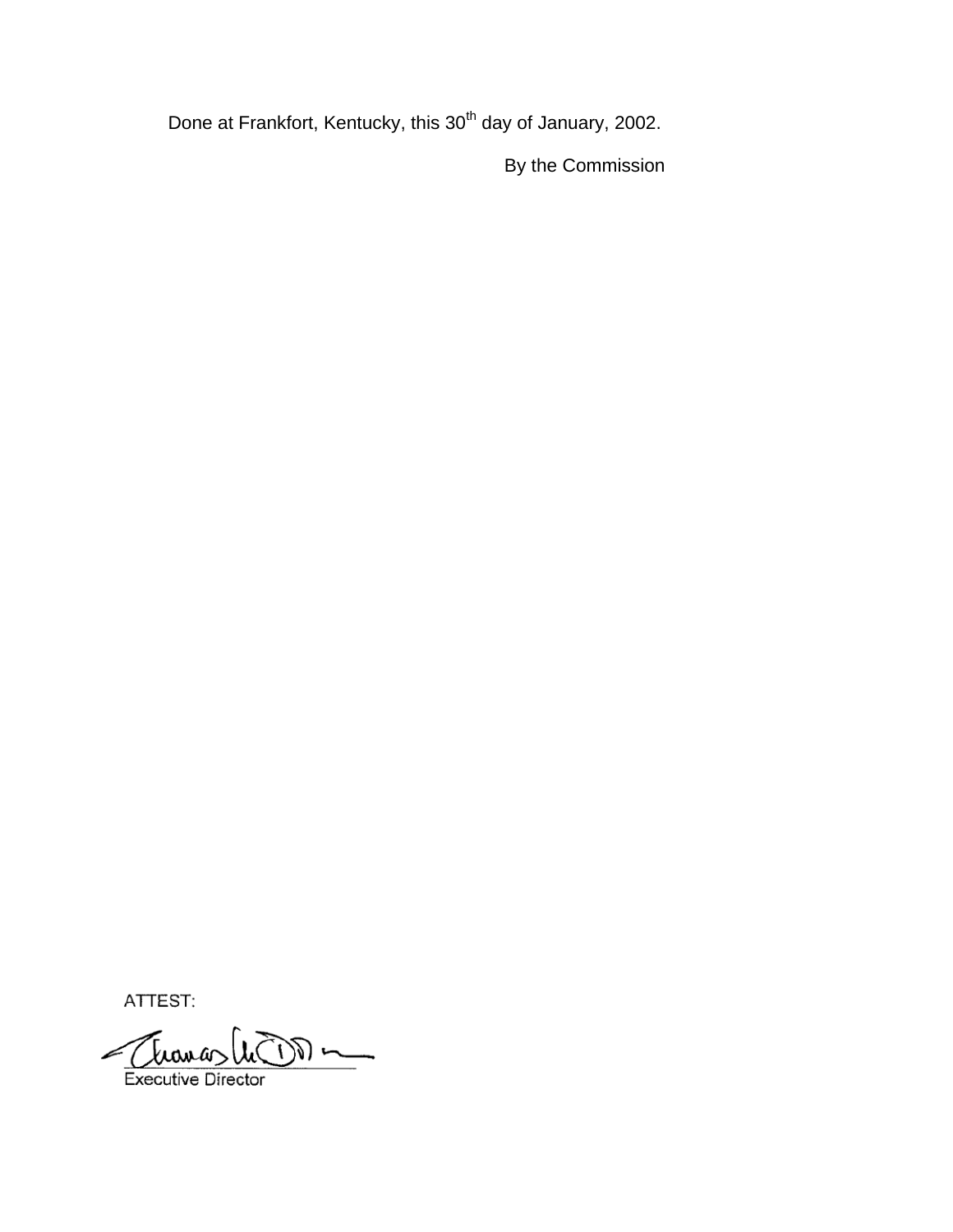Done at Frankfort, Kentucky, this 30<sup>th</sup> day of January, 2002.

By the Commission

ATTEST:

Thomas  $\frac{1}{2}$ Executive Director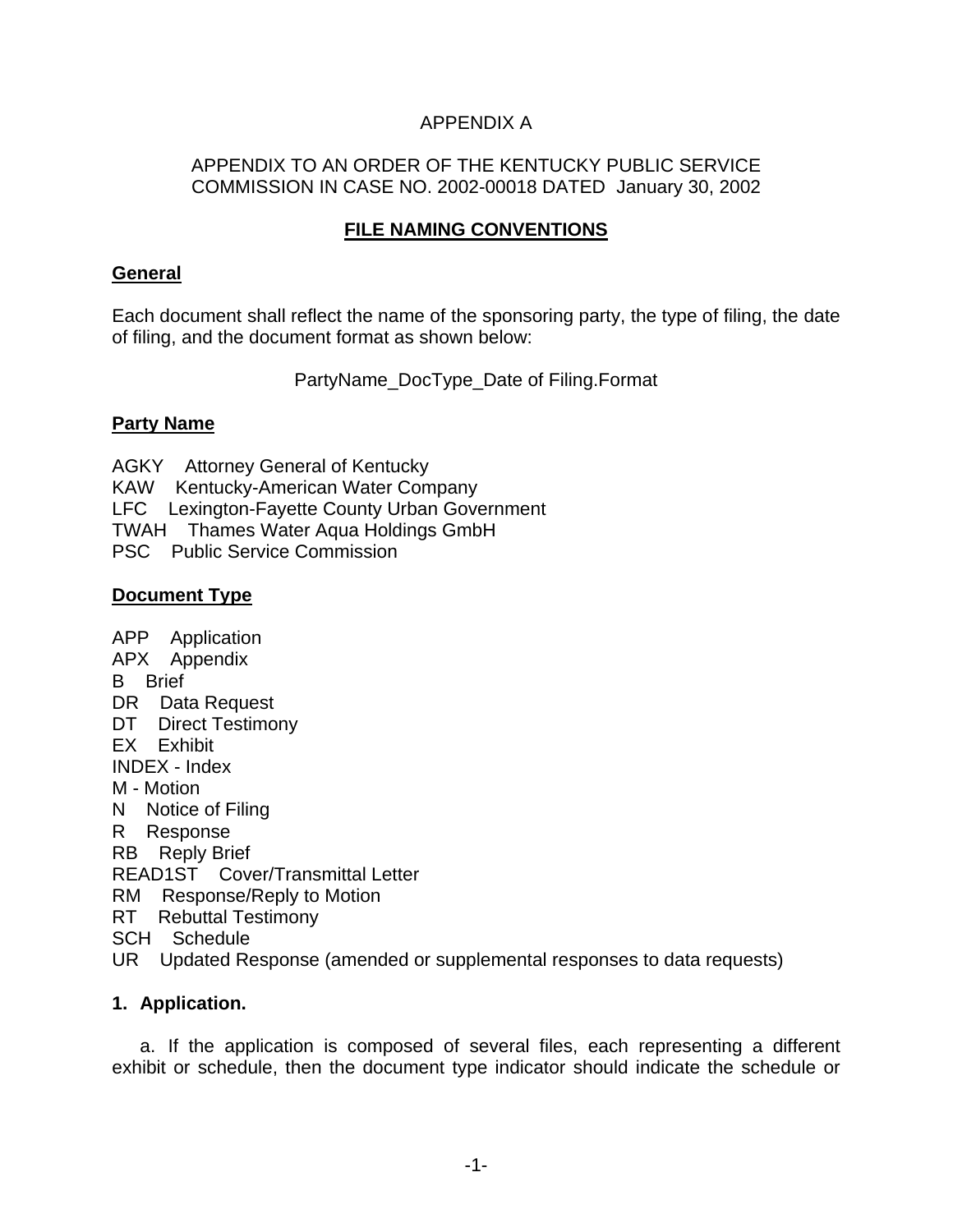# APPENDIX A

## APPENDIX TO AN ORDER OF THE KENTUCKY PUBLIC SERVICE COMMISSION IN CASE NO. 2002-00018 DATED January 30, 2002

# **FILE NAMING CONVENTIONS**

### **General**

Each document shall reflect the name of the sponsoring party, the type of filing, the date of filing, and the document format as shown below:

PartyName\_DocType\_Date of Filing.Format

### **Party Name**

AGKY Attorney General of Kentucky KAW Kentucky-American Water Company LFC Lexington-Fayette County Urban Government TWAH Thames Water Aqua Holdings GmbH PSC Public Service Commission

# **Document Type**

APP Application APX Appendix B Brief DR Data Request DT Direct Testimony EX Exhibit INDEX - Index M - Motion N Notice of Filing R Response RB Reply Brief READ1ST Cover/Transmittal Letter RM Response/Reply to Motion RT Rebuttal Testimony SCH Schedule

UR Updated Response (amended or supplemental responses to data requests)

## **1. Application.**

a. If the application is composed of several files, each representing a different exhibit or schedule, then the document type indicator should indicate the schedule or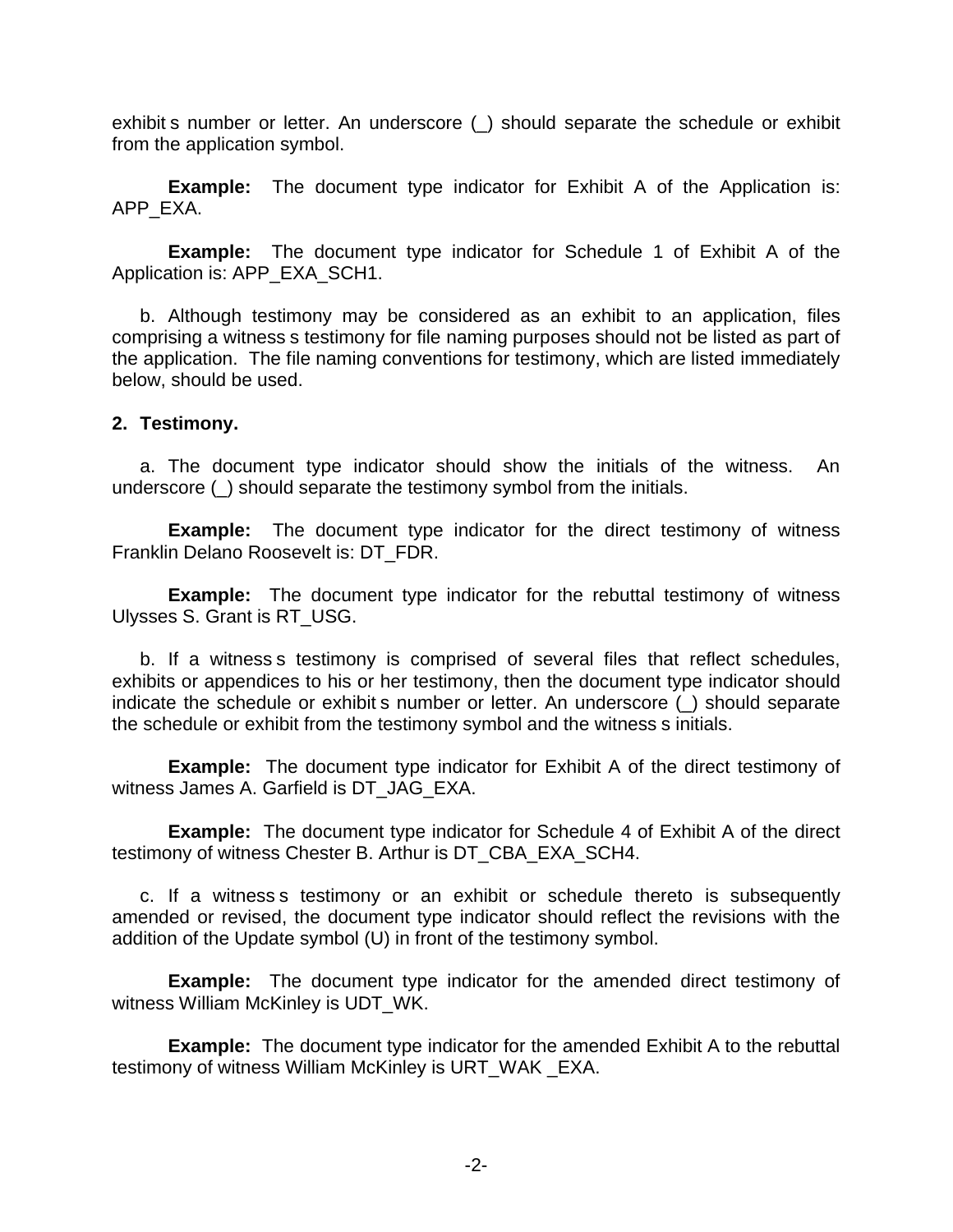exhibit s number or letter. An underscore (\_) should separate the schedule or exhibit from the application symbol.

**Example:** The document type indicator for Exhibit A of the Application is: APP\_EXA.

**Example:** The document type indicator for Schedule 1 of Exhibit A of the Application is: APP\_EXA\_SCH1.

b. Although testimony may be considered as an exhibit to an application, files comprising a witness s testimony for file naming purposes should not be listed as part of the application. The file naming conventions for testimony, which are listed immediately below, should be used.

### **2. Testimony.**

a. The document type indicator should show the initials of the witness. An underscore (\_) should separate the testimony symbol from the initials.

**Example:** The document type indicator for the direct testimony of witness Franklin Delano Roosevelt is: DT\_FDR.

**Example:** The document type indicator for the rebuttal testimony of witness Ulysses S. Grant is RT\_USG.

b. If a witness s testimony is comprised of several files that reflect schedules, exhibits or appendices to his or her testimony, then the document type indicator should indicate the schedule or exhibit s number or letter. An underscore (\_) should separate the schedule or exhibit from the testimony symbol and the witness s initials.

**Example:** The document type indicator for Exhibit A of the direct testimony of witness James A. Garfield is DT\_JAG\_EXA.

**Example:** The document type indicator for Schedule 4 of Exhibit A of the direct testimony of witness Chester B. Arthur is DT\_CBA\_EXA\_SCH4.

c. If a witness s testimony or an exhibit or schedule thereto is subsequently amended or revised, the document type indicator should reflect the revisions with the addition of the Update symbol (U) in front of the testimony symbol.

**Example:** The document type indicator for the amended direct testimony of witness William McKinley is UDT WK.

**Example:** The document type indicator for the amended Exhibit A to the rebuttal testimony of witness William McKinley is URT\_WAK \_EXA.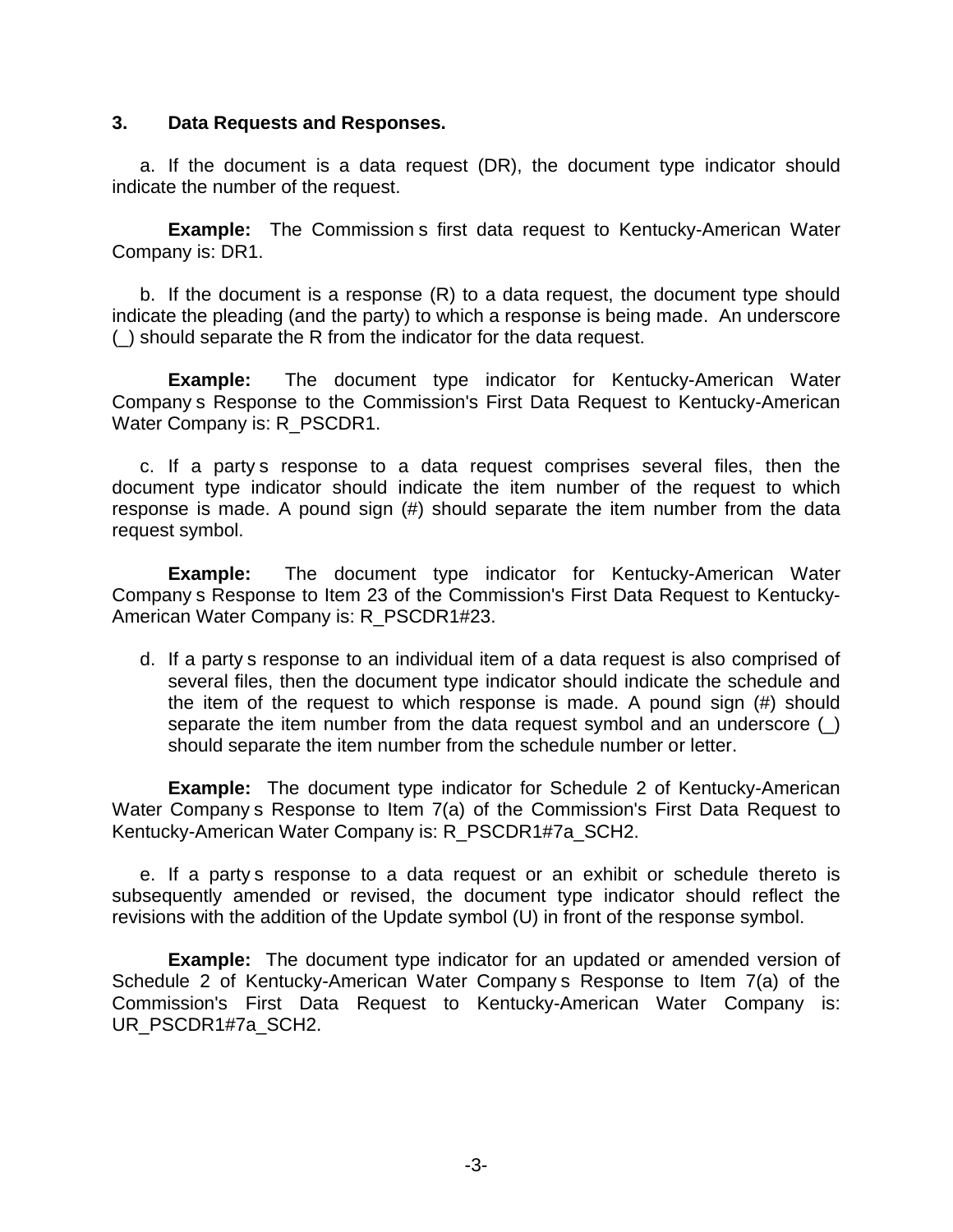### **3. Data Requests and Responses.**

a. If the document is a data request (DR), the document type indicator should indicate the number of the request.

**Example:** The Commission s first data request to Kentucky-American Water Company is: DR1.

b. If the document is a response (R) to a data request, the document type should indicate the pleading (and the party) to which a response is being made. An underscore (\_) should separate the R from the indicator for the data request.

**Example:** The document type indicator for Kentucky-American Water Company s Response to the Commission's First Data Request to Kentucky-American Water Company is: R\_PSCDR1.

c. If a party s response to a data request comprises several files, then the document type indicator should indicate the item number of the request to which response is made. A pound sign (#) should separate the item number from the data request symbol.

**Example:** The document type indicator for Kentucky-American Water Company s Response to Item 23 of the Commission's First Data Request to Kentucky-American Water Company is: R\_PSCDR1#23.

d. If a party s response to an individual item of a data request is also comprised of several files, then the document type indicator should indicate the schedule and the item of the request to which response is made. A pound sign (#) should separate the item number from the data request symbol and an underscore () should separate the item number from the schedule number or letter.

**Example:** The document type indicator for Schedule 2 of Kentucky-American Water Company s Response to Item 7(a) of the Commission's First Data Request to Kentucky-American Water Company is: R\_PSCDR1#7a\_SCH2.

e. If a party s response to a data request or an exhibit or schedule thereto is subsequently amended or revised, the document type indicator should reflect the revisions with the addition of the Update symbol (U) in front of the response symbol.

**Example:** The document type indicator for an updated or amended version of Schedule 2 of Kentucky-American Water Company s Response to Item 7(a) of the Commission's First Data Request to Kentucky-American Water Company is: UR\_PSCDR1#7a\_SCH2.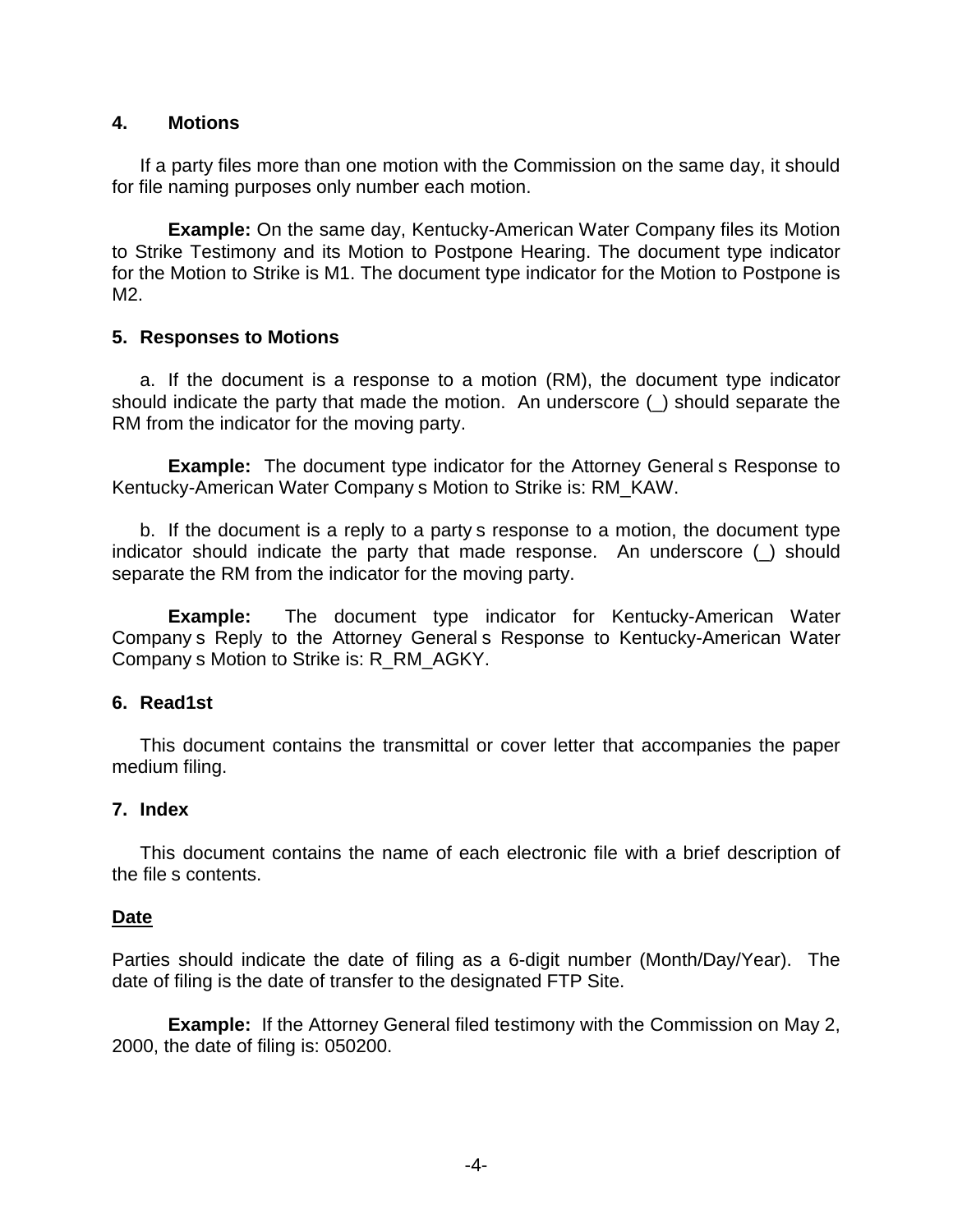## **4. Motions**

If a party files more than one motion with the Commission on the same day, it should for file naming purposes only number each motion.

**Example:** On the same day, Kentucky-American Water Company files its Motion to Strike Testimony and its Motion to Postpone Hearing. The document type indicator for the Motion to Strike is M1. The document type indicator for the Motion to Postpone is M2.

### **5. Responses to Motions**

a. If the document is a response to a motion (RM), the document type indicator should indicate the party that made the motion. An underscore (\_) should separate the RM from the indicator for the moving party.

**Example:** The document type indicator for the Attorney General s Response to Kentucky-American Water Company s Motion to Strike is: RM\_KAW.

b. If the document is a reply to a party s response to a motion, the document type indicator should indicate the party that made response. An underscore (\_) should separate the RM from the indicator for the moving party.

**Example:** The document type indicator for Kentucky-American Water Company s Reply to the Attorney General s Response to Kentucky-American Water Company s Motion to Strike is: R\_RM\_AGKY.

## **6. Read1st**

This document contains the transmittal or cover letter that accompanies the paper medium filing.

## **7. Index**

This document contains the name of each electronic file with a brief description of the file s contents.

#### **Date**

Parties should indicate the date of filing as a 6-digit number (Month/Day/Year). The date of filing is the date of transfer to the designated FTP Site.

**Example:** If the Attorney General filed testimony with the Commission on May 2, 2000, the date of filing is: 050200.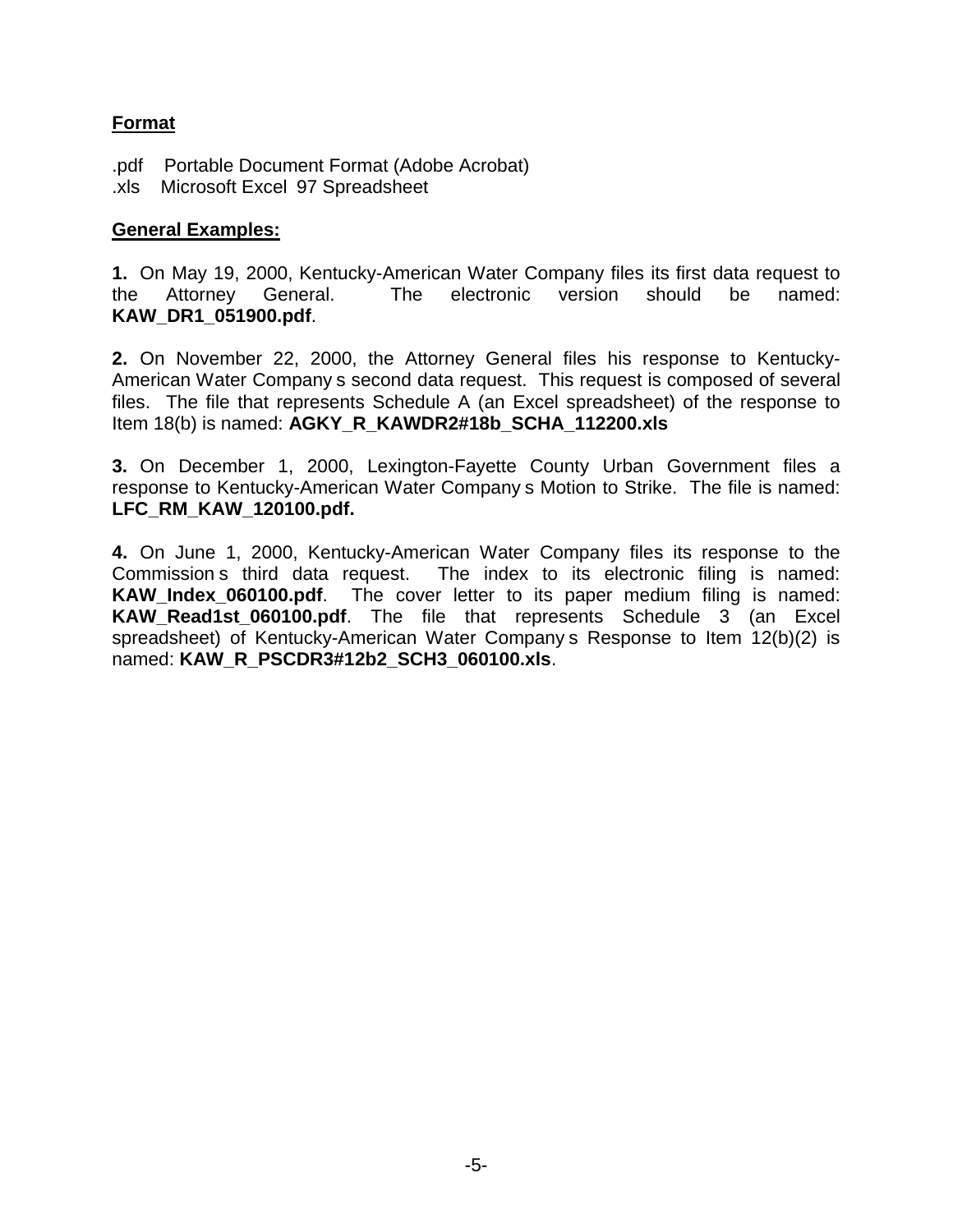# **Format**

.pdf Portable Document Format (Adobe Acrobat) .xls Microsoft Excel 97 Spreadsheet

# **General Examples:**

**1.** On May 19, 2000, Kentucky-American Water Company files its first data request to the Attorney General. The electronic version should be named: **KAW\_DR1\_051900.pdf**.

**2.** On November 22, 2000, the Attorney General files his response to Kentucky-American Water Company s second data request. This request is composed of several files. The file that represents Schedule A (an Excel spreadsheet) of the response to Item 18(b) is named: **AGKY\_R\_KAWDR2#18b\_SCHA\_112200.xls**

**3.** On December 1, 2000, Lexington-Fayette County Urban Government files a response to Kentucky-American Water Company s Motion to Strike. The file is named: **LFC\_RM\_KAW\_120100.pdf.**

**4.** On June 1, 2000, Kentucky-American Water Company files its response to the Commission s third data request. The index to its electronic filing is named: **KAW\_Index\_060100.pdf**. The cover letter to its paper medium filing is named: **KAW Read1st 060100.pdf**. The file that represents Schedule 3 (an Excel spreadsheet) of Kentucky-American Water Company s Response to Item 12(b)(2) is named: **KAW\_R\_PSCDR3#12b2\_SCH3\_060100.xls**.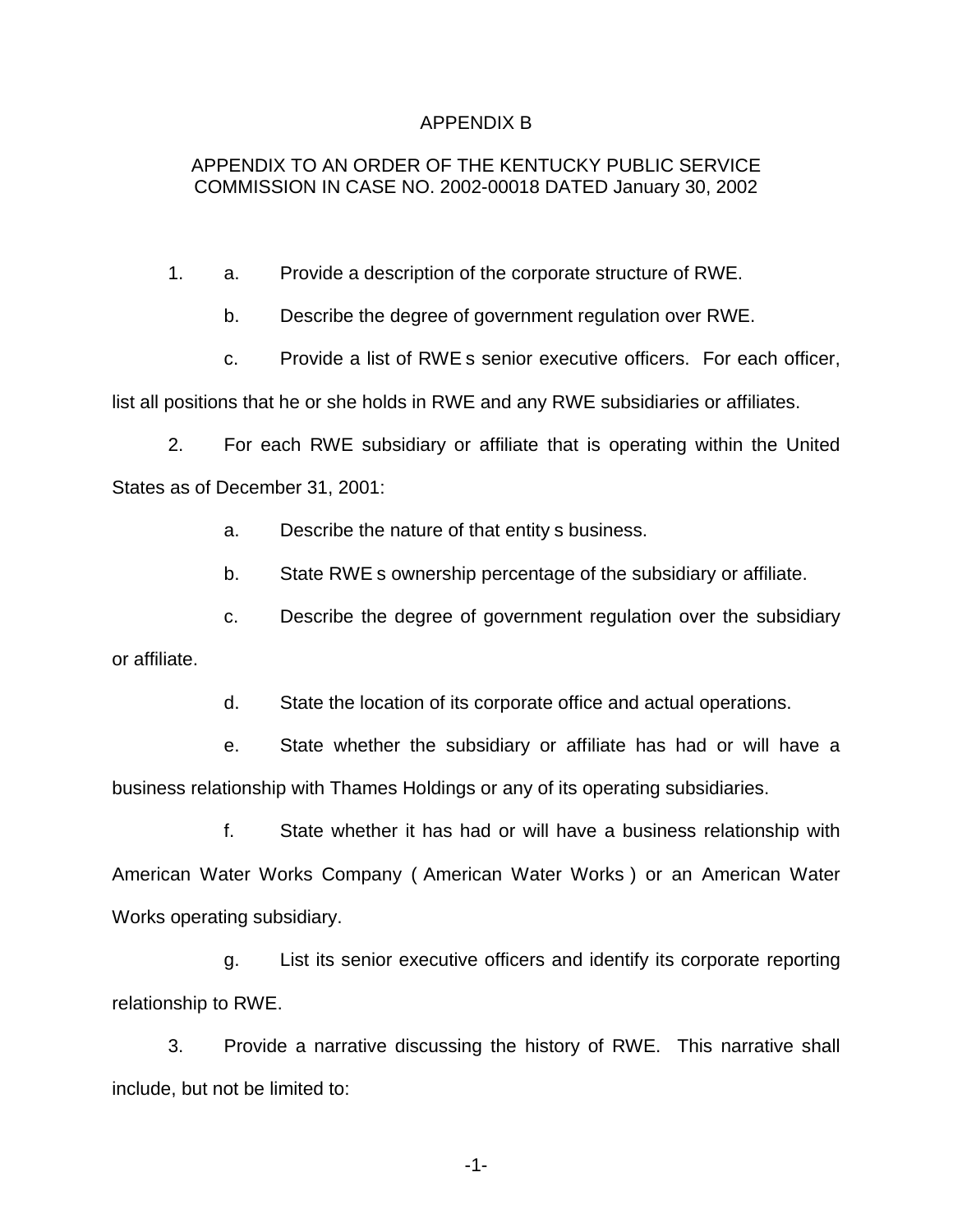#### APPENDIX B

## APPENDIX TO AN ORDER OF THE KENTUCKY PUBLIC SERVICE COMMISSION IN CASE NO. 2002-00018 DATED January 30, 2002

- 1. a. Provide a description of the corporate structure of RWE.
	- b. Describe the degree of government regulation over RWE.
	- c. Provide a list of RWE s senior executive officers. For each officer,

list all positions that he or she holds in RWE and any RWE subsidiaries or affiliates.

2. For each RWE subsidiary or affiliate that is operating within the United States as of December 31, 2001:

a. Describe the nature of that entity s business.

b. State RWE s ownership percentage of the subsidiary or affiliate.

c. Describe the degree of government regulation over the subsidiary

or affiliate.

d. State the location of its corporate office and actual operations.

e. State whether the subsidiary or affiliate has had or will have a business relationship with Thames Holdings or any of its operating subsidiaries.

f. State whether it has had or will have a business relationship with American Water Works Company ( American Water Works ) or an American Water Works operating subsidiary.

g. List its senior executive officers and identify its corporate reporting relationship to RWE.

3. Provide a narrative discussing the history of RWE. This narrative shall include, but not be limited to:

-1-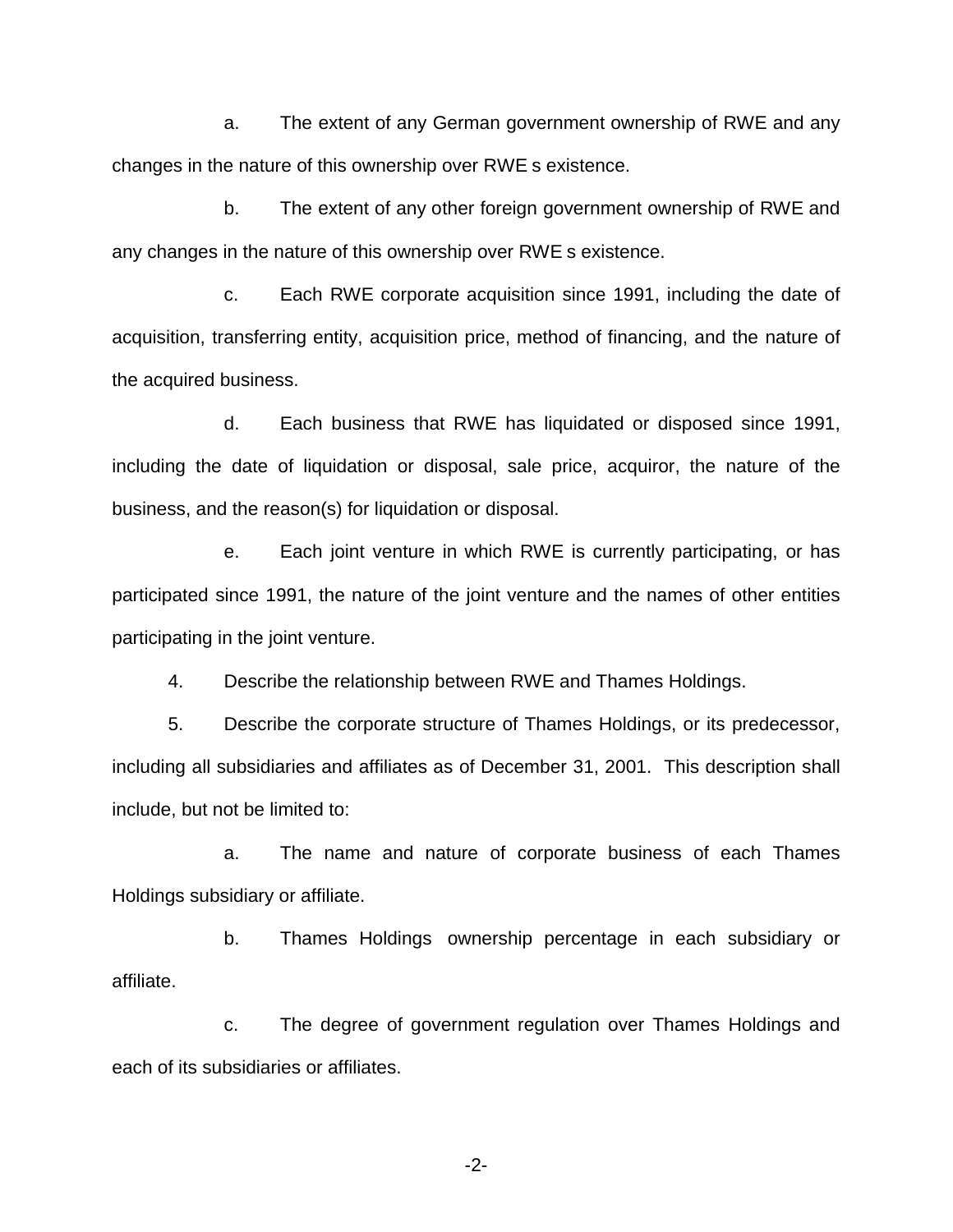a. The extent of any German government ownership of RWE and any changes in the nature of this ownership over RWE s existence.

b. The extent of any other foreign government ownership of RWE and any changes in the nature of this ownership over RWE s existence.

c. Each RWE corporate acquisition since 1991, including the date of acquisition, transferring entity, acquisition price, method of financing, and the nature of the acquired business.

d. Each business that RWE has liquidated or disposed since 1991, including the date of liquidation or disposal, sale price, acquiror, the nature of the business, and the reason(s) for liquidation or disposal.

e. Each joint venture in which RWE is currently participating, or has participated since 1991, the nature of the joint venture and the names of other entities participating in the joint venture.

4. Describe the relationship between RWE and Thames Holdings.

5. Describe the corporate structure of Thames Holdings, or its predecessor, including all subsidiaries and affiliates as of December 31, 2001. This description shall include, but not be limited to:

a. The name and nature of corporate business of each Thames Holdings subsidiary or affiliate.

b. Thames Holdings ownership percentage in each subsidiary or affiliate.

c. The degree of government regulation over Thames Holdings and each of its subsidiaries or affiliates.

-2-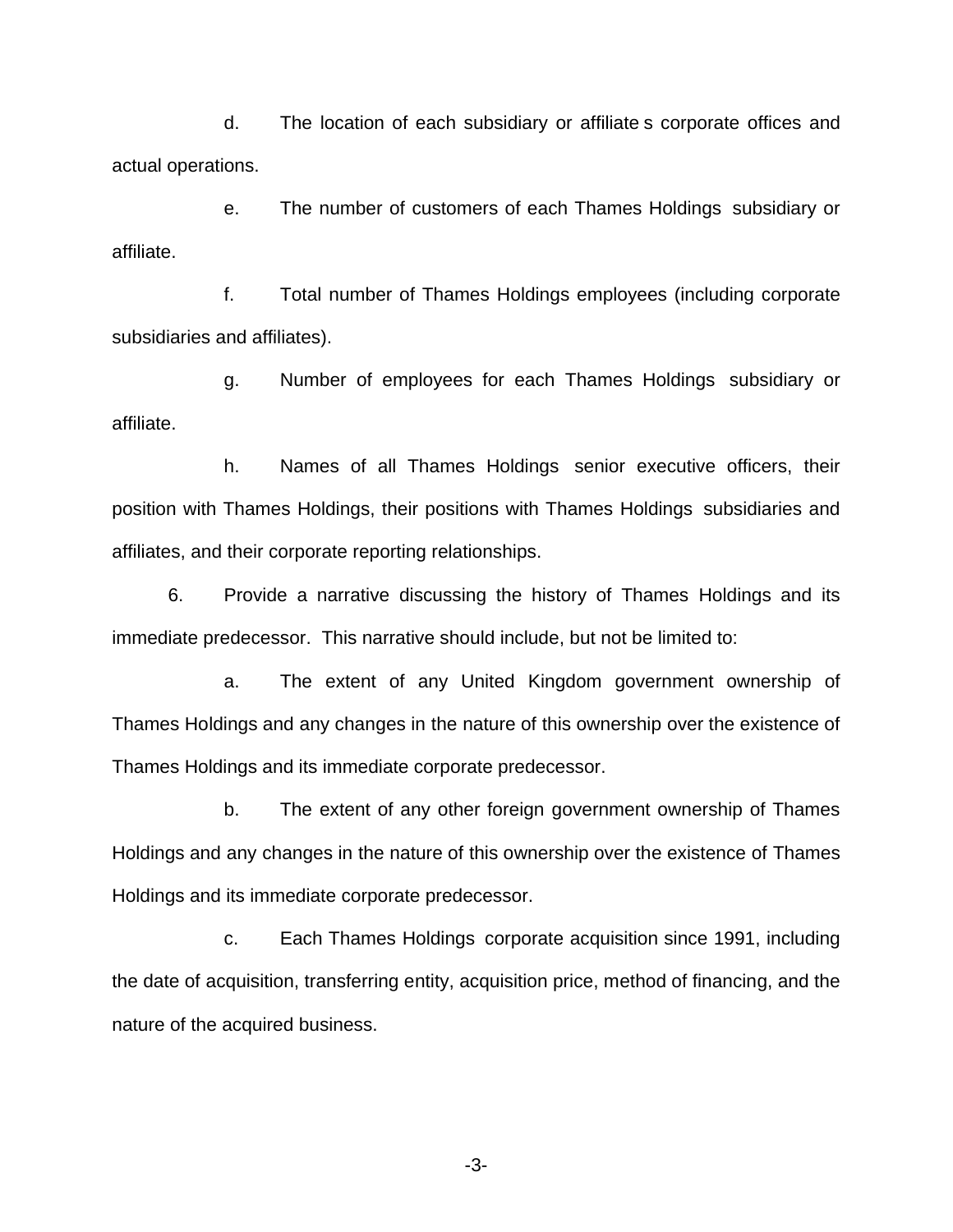d. The location of each subsidiary or affiliate s corporate offices and actual operations.

e. The number of customers of each Thames Holdings subsidiary or affiliate.

f. Total number of Thames Holdings employees (including corporate subsidiaries and affiliates).

g. Number of employees for each Thames Holdings subsidiary or affiliate.

h. Names of all Thames Holdings senior executive officers, their position with Thames Holdings, their positions with Thames Holdings subsidiaries and affiliates, and their corporate reporting relationships.

6. Provide a narrative discussing the history of Thames Holdings and its immediate predecessor. This narrative should include, but not be limited to:

a. The extent of any United Kingdom government ownership of Thames Holdings and any changes in the nature of this ownership over the existence of Thames Holdings and its immediate corporate predecessor.

b. The extent of any other foreign government ownership of Thames Holdings and any changes in the nature of this ownership over the existence of Thames Holdings and its immediate corporate predecessor.

c. Each Thames Holdings corporate acquisition since 1991, including the date of acquisition, transferring entity, acquisition price, method of financing, and the nature of the acquired business.

-3-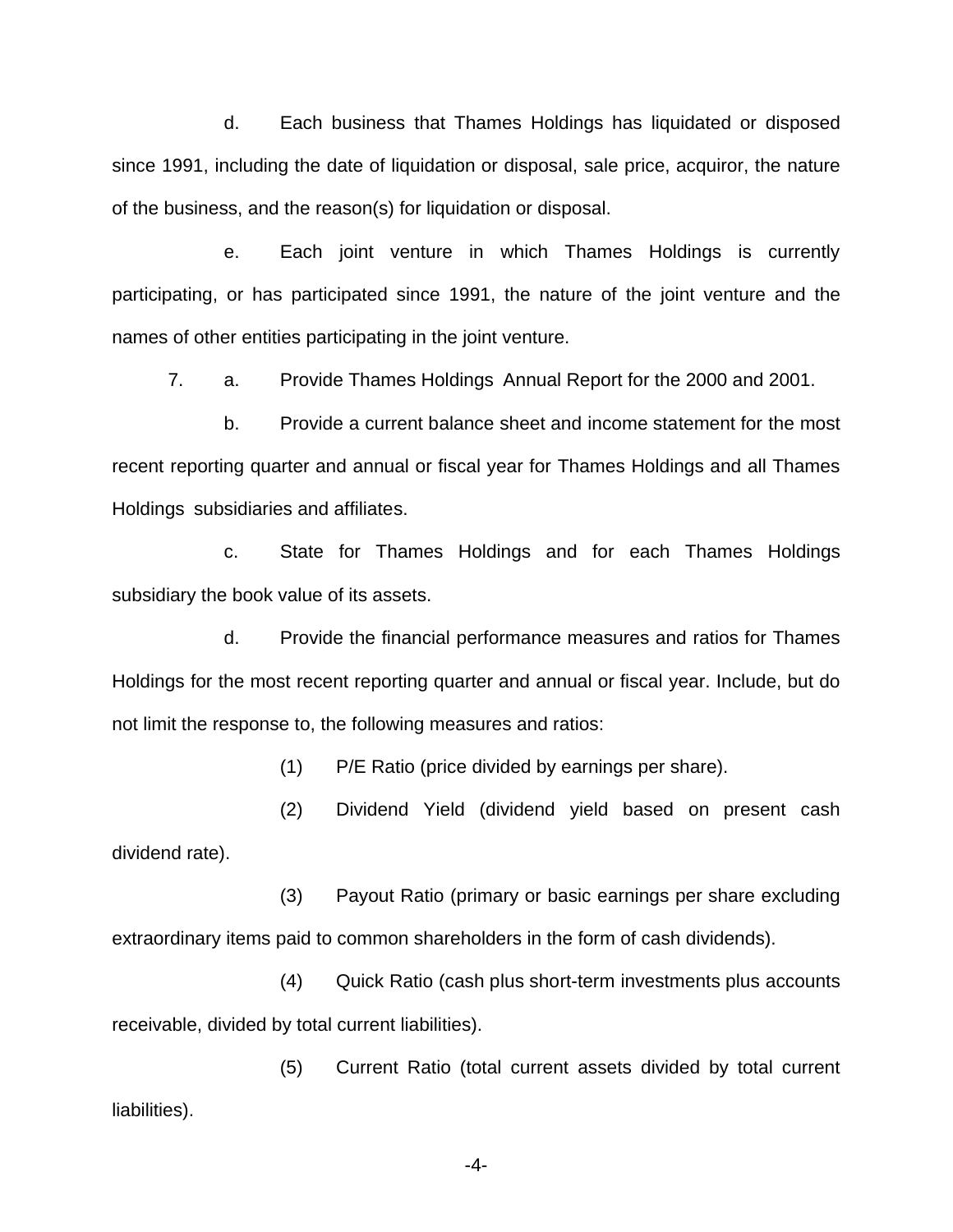d. Each business that Thames Holdings has liquidated or disposed since 1991, including the date of liquidation or disposal, sale price, acquiror, the nature of the business, and the reason(s) for liquidation or disposal.

e. Each joint venture in which Thames Holdings is currently participating, or has participated since 1991, the nature of the joint venture and the names of other entities participating in the joint venture.

7. a. Provide Thames Holdings Annual Report for the 2000 and 2001.

b. Provide a current balance sheet and income statement for the most recent reporting quarter and annual or fiscal year for Thames Holdings and all Thames Holdings subsidiaries and affiliates.

c. State for Thames Holdings and for each Thames Holdings subsidiary the book value of its assets.

d. Provide the financial performance measures and ratios for Thames Holdings for the most recent reporting quarter and annual or fiscal year. Include, but do not limit the response to, the following measures and ratios:

(1) P/E Ratio (price divided by earnings per share).

(2) Dividend Yield (dividend yield based on present cash dividend rate).

(3) Payout Ratio (primary or basic earnings per share excluding extraordinary items paid to common shareholders in the form of cash dividends).

(4) Quick Ratio (cash plus short-term investments plus accounts receivable, divided by total current liabilities).

(5) Current Ratio (total current assets divided by total current liabilities).

-4-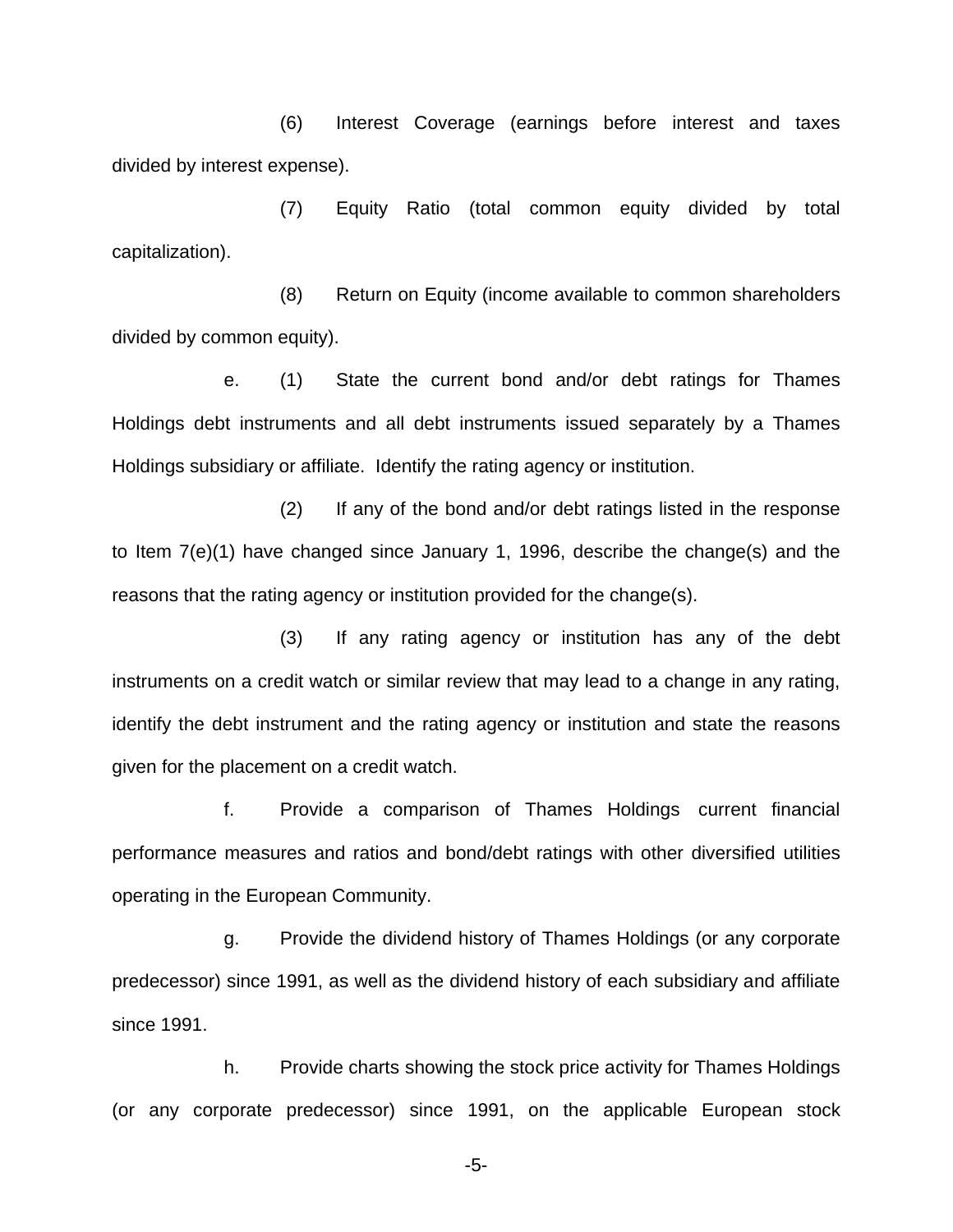(6) Interest Coverage (earnings before interest and taxes divided by interest expense).

(7) Equity Ratio (total common equity divided by total capitalization).

(8) Return on Equity (income available to common shareholders divided by common equity).

e. (1) State the current bond and/or debt ratings for Thames Holdings debt instruments and all debt instruments issued separately by a Thames Holdings subsidiary or affiliate. Identify the rating agency or institution.

(2) If any of the bond and/or debt ratings listed in the response to Item 7(e)(1) have changed since January 1, 1996, describe the change(s) and the reasons that the rating agency or institution provided for the change(s).

(3) If any rating agency or institution has any of the debt instruments on a credit watch or similar review that may lead to a change in any rating, identify the debt instrument and the rating agency or institution and state the reasons given for the placement on a credit watch.

f. Provide a comparison of Thames Holdings current financial performance measures and ratios and bond/debt ratings with other diversified utilities operating in the European Community.

g. Provide the dividend history of Thames Holdings (or any corporate predecessor) since 1991, as well as the dividend history of each subsidiary and affiliate since 1991.

h. Provide charts showing the stock price activity for Thames Holdings (or any corporate predecessor) since 1991, on the applicable European stock

-5-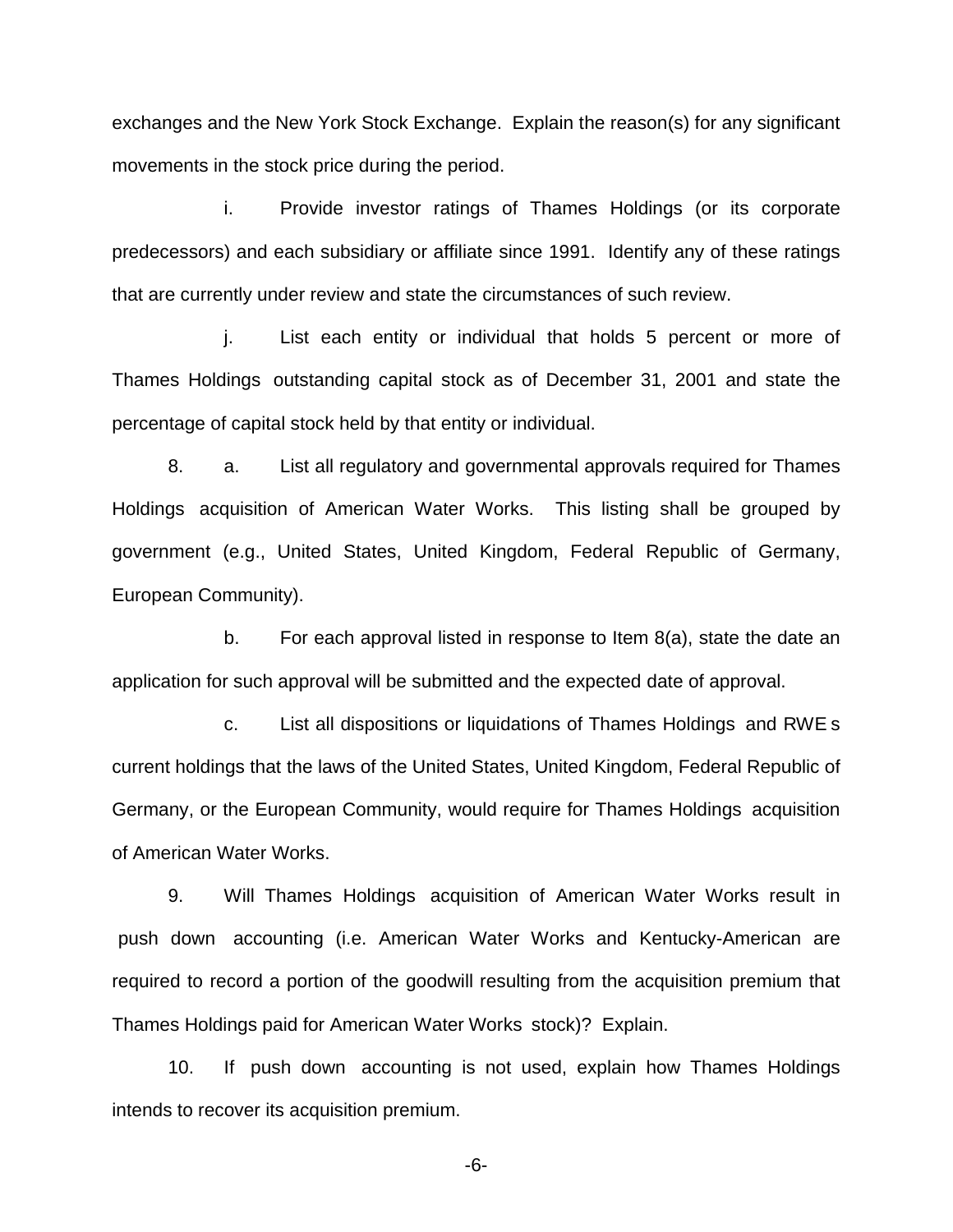exchanges and the New York Stock Exchange. Explain the reason(s) for any significant movements in the stock price during the period.

i. Provide investor ratings of Thames Holdings (or its corporate predecessors) and each subsidiary or affiliate since 1991. Identify any of these ratings that are currently under review and state the circumstances of such review.

j. List each entity or individual that holds 5 percent or more of Thames Holdings outstanding capital stock as of December 31, 2001 and state the percentage of capital stock held by that entity or individual.

8. a. List all regulatory and governmental approvals required for Thames Holdings acquisition of American Water Works. This listing shall be grouped by government (e.g., United States, United Kingdom, Federal Republic of Germany, European Community).

b. For each approval listed in response to Item 8(a), state the date an application for such approval will be submitted and the expected date of approval.

c. List all dispositions or liquidations of Thames Holdings and RWE s current holdings that the laws of the United States, United Kingdom, Federal Republic of Germany, or the European Community, would require for Thames Holdings acquisition of American Water Works.

9. Will Thames Holdings acquisition of American Water Works result in push down accounting (i.e. American Water Works and Kentucky-American are required to record a portion of the goodwill resulting from the acquisition premium that Thames Holdings paid for American Water Works stock)? Explain.

10. If push down accounting is not used, explain how Thames Holdings intends to recover its acquisition premium.

-6-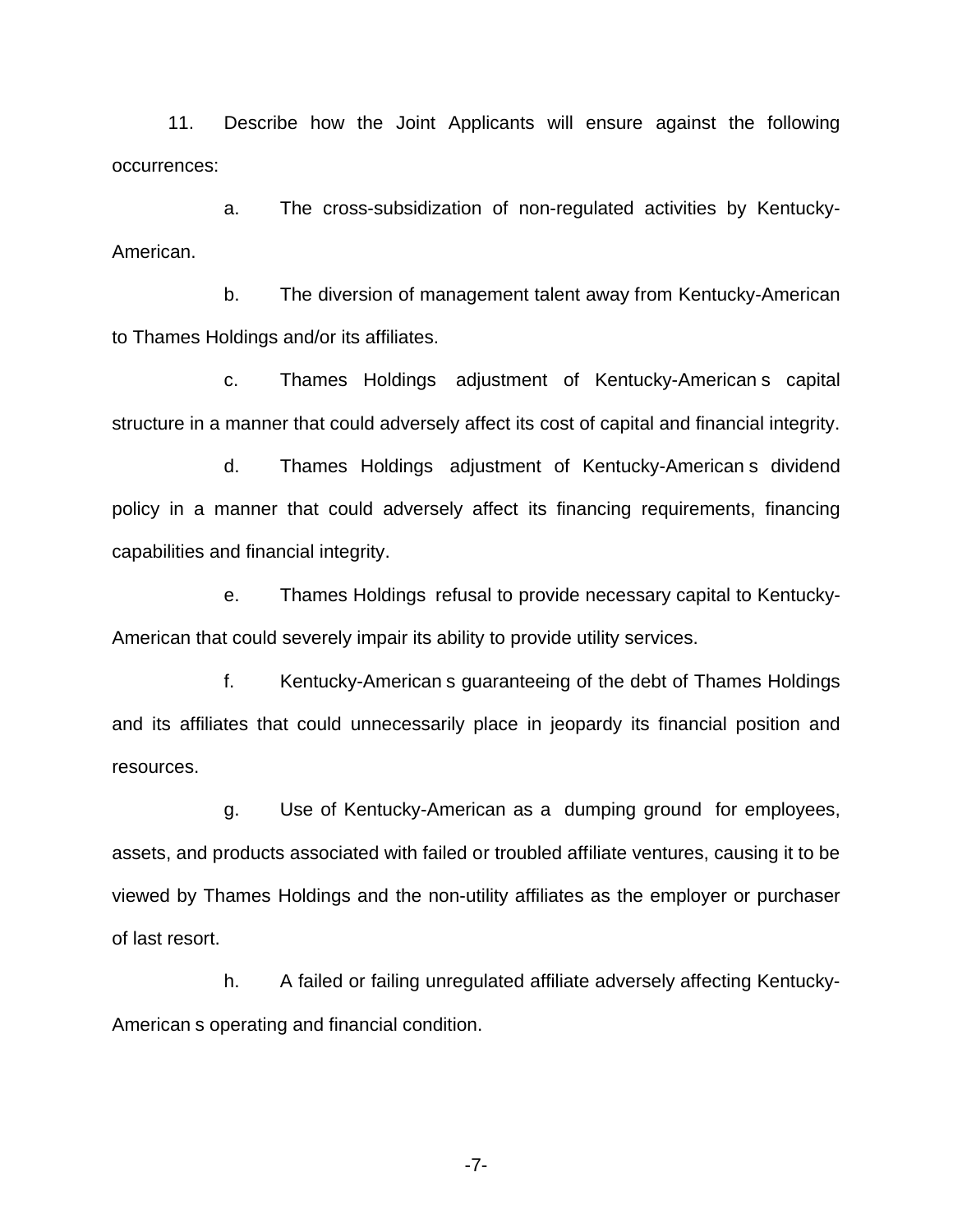11. Describe how the Joint Applicants will ensure against the following occurrences:

a. The cross-subsidization of non-regulated activities by Kentucky-American.

b. The diversion of management talent away from Kentucky-American to Thames Holdings and/or its affiliates.

c. Thames Holdings adjustment of Kentucky-American s capital structure in a manner that could adversely affect its cost of capital and financial integrity.

d. Thames Holdings adjustment of Kentucky-American s dividend policy in a manner that could adversely affect its financing requirements, financing capabilities and financial integrity.

e. Thames Holdings refusal to provide necessary capital to Kentucky-American that could severely impair its ability to provide utility services.

f. Kentucky-American s guaranteeing of the debt of Thames Holdings and its affiliates that could unnecessarily place in jeopardy its financial position and resources.

g. Use of Kentucky-American as a dumping ground for employees, assets, and products associated with failed or troubled affiliate ventures, causing it to be viewed by Thames Holdings and the non-utility affiliates as the employer or purchaser of last resort.

h. A failed or failing unregulated affiliate adversely affecting Kentucky-American s operating and financial condition.

-7-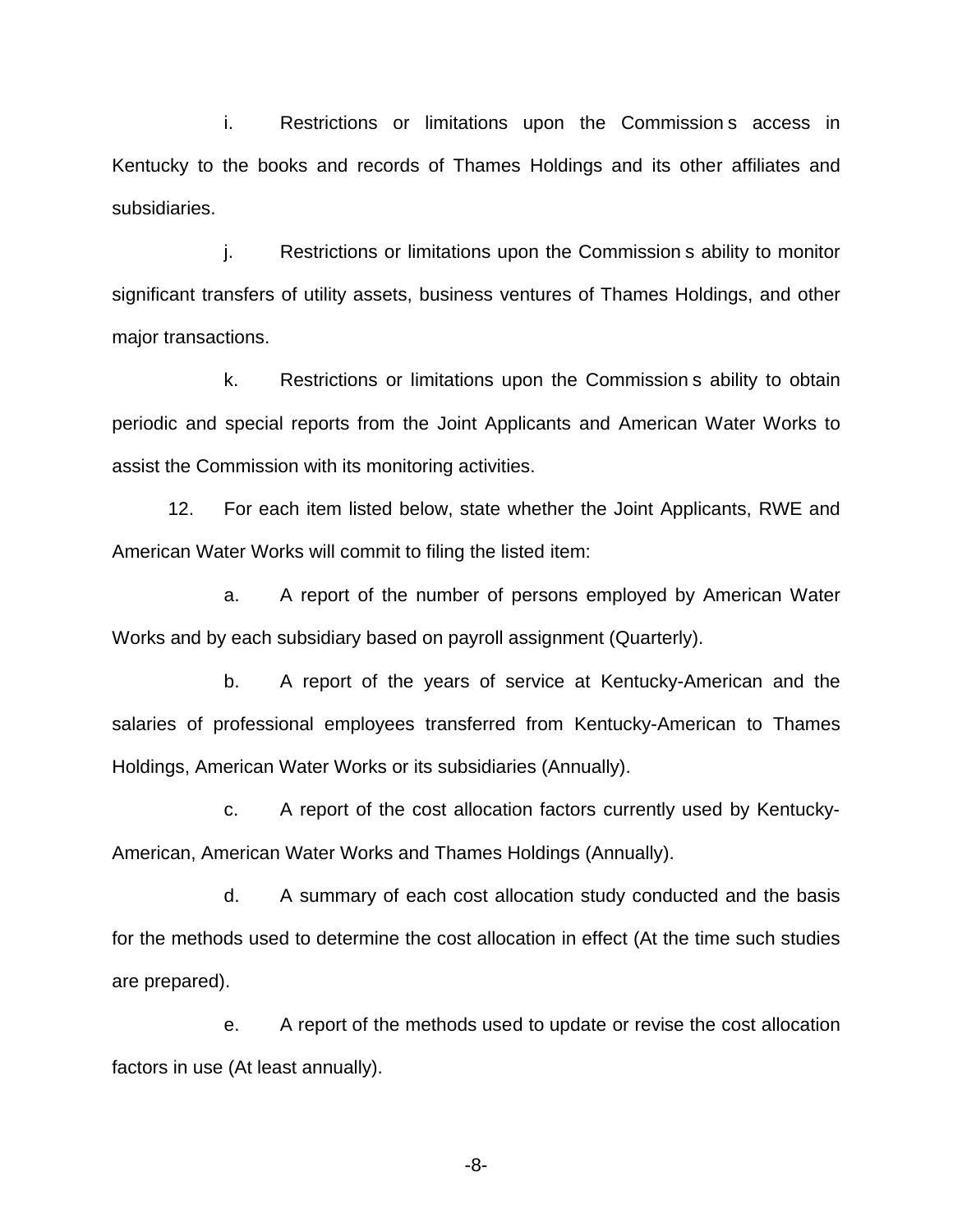i. Restrictions or limitations upon the Commission s access in Kentucky to the books and records of Thames Holdings and its other affiliates and subsidiaries.

j. Restrictions or limitations upon the Commission s ability to monitor significant transfers of utility assets, business ventures of Thames Holdings, and other major transactions.

k. Restrictions or limitations upon the Commission s ability to obtain periodic and special reports from the Joint Applicants and American Water Works to assist the Commission with its monitoring activities.

12. For each item listed below, state whether the Joint Applicants, RWE and American Water Works will commit to filing the listed item:

a. A report of the number of persons employed by American Water Works and by each subsidiary based on payroll assignment (Quarterly).

b. A report of the years of service at Kentucky-American and the salaries of professional employees transferred from Kentucky-American to Thames Holdings, American Water Works or its subsidiaries (Annually).

c. A report of the cost allocation factors currently used by Kentucky-American, American Water Works and Thames Holdings (Annually).

d. A summary of each cost allocation study conducted and the basis for the methods used to determine the cost allocation in effect (At the time such studies are prepared).

e. A report of the methods used to update or revise the cost allocation factors in use (At least annually).

-8-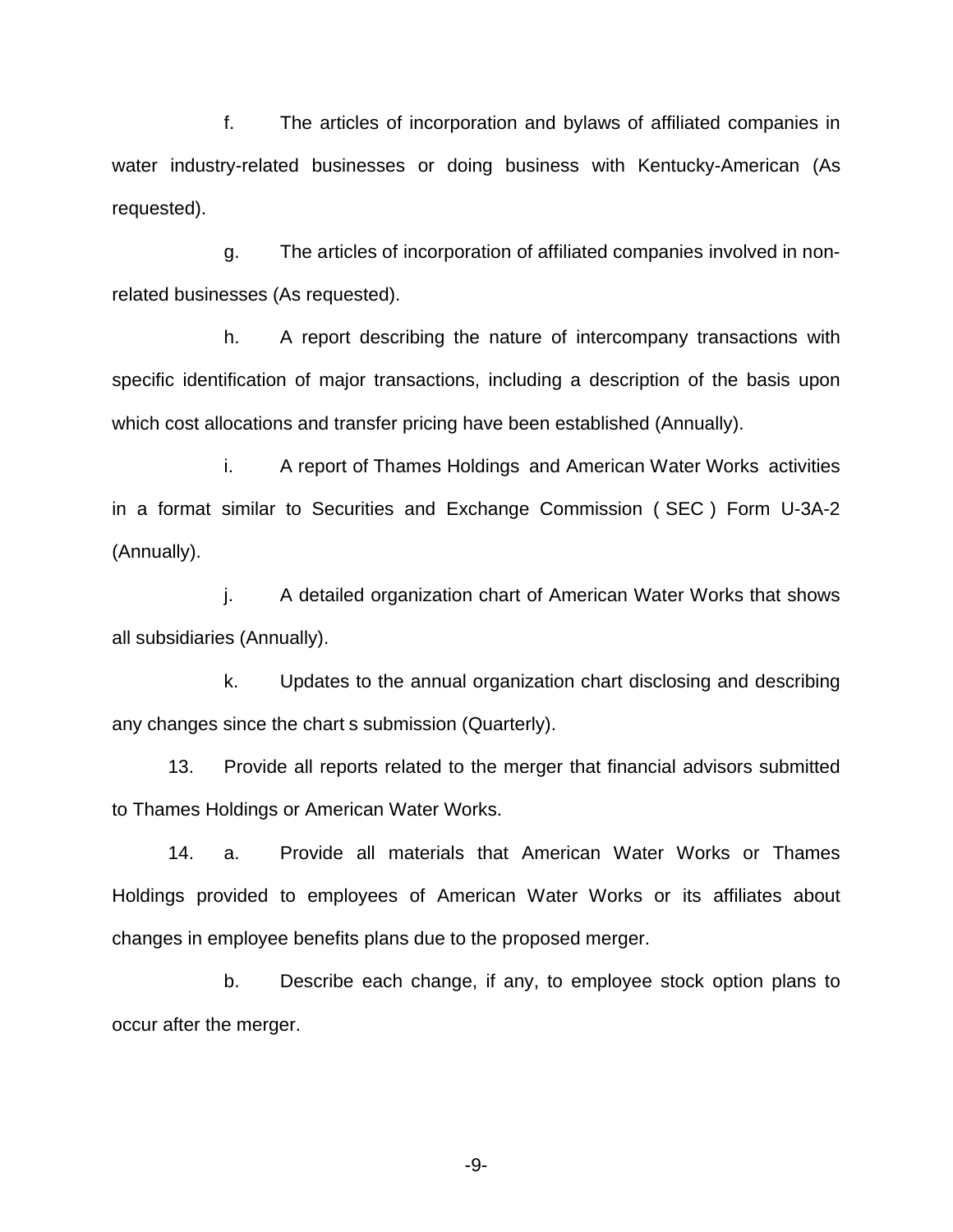f. The articles of incorporation and bylaws of affiliated companies in water industry-related businesses or doing business with Kentucky-American (As requested).

g. The articles of incorporation of affiliated companies involved in nonrelated businesses (As requested).

h. A report describing the nature of intercompany transactions with specific identification of major transactions, including a description of the basis upon which cost allocations and transfer pricing have been established (Annually).

i. A report of Thames Holdings and American Water Works activities in a format similar to Securities and Exchange Commission ( SEC ) Form U-3A-2 (Annually).

j. A detailed organization chart of American Water Works that shows all subsidiaries (Annually).

k. Updates to the annual organization chart disclosing and describing any changes since the chart s submission (Quarterly).

13. Provide all reports related to the merger that financial advisors submitted to Thames Holdings or American Water Works.

14. a. Provide all materials that American Water Works or Thames Holdings provided to employees of American Water Works or its affiliates about changes in employee benefits plans due to the proposed merger.

b. Describe each change, if any, to employee stock option plans to occur after the merger.

-9-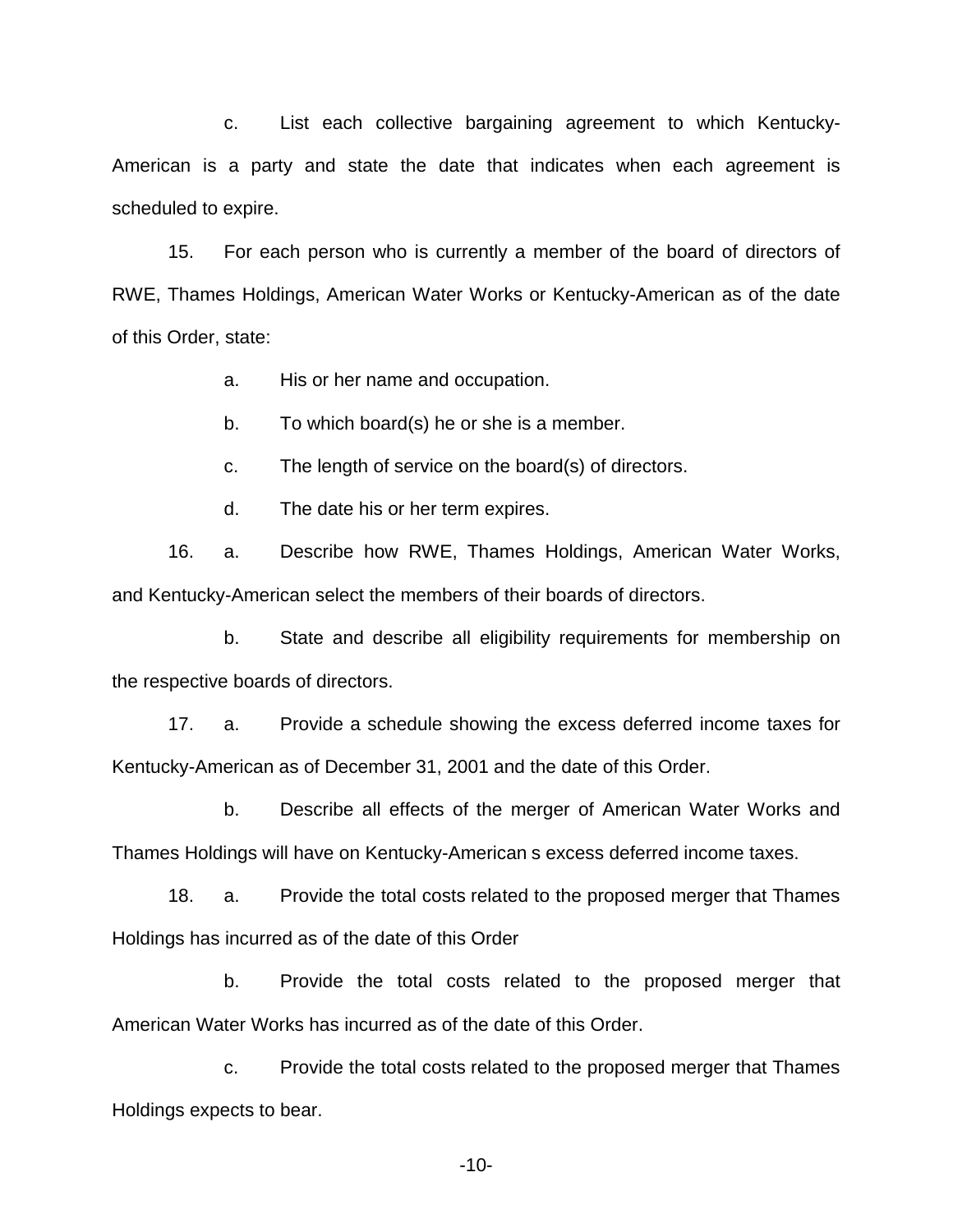c. List each collective bargaining agreement to which Kentucky-American is a party and state the date that indicates when each agreement is scheduled to expire.

15. For each person who is currently a member of the board of directors of RWE, Thames Holdings, American Water Works or Kentucky-American as of the date of this Order, state:

a. His or her name and occupation.

b. To which board(s) he or she is a member.

c. The length of service on the board(s) of directors.

d. The date his or her term expires.

16. a. Describe how RWE, Thames Holdings, American Water Works, and Kentucky-American select the members of their boards of directors.

b. State and describe all eligibility requirements for membership on the respective boards of directors.

17. a. Provide a schedule showing the excess deferred income taxes for Kentucky-American as of December 31, 2001 and the date of this Order.

b. Describe all effects of the merger of American Water Works and Thames Holdings will have on Kentucky-American s excess deferred income taxes.

18. a. Provide the total costs related to the proposed merger that Thames Holdings has incurred as of the date of this Order

b. Provide the total costs related to the proposed merger that American Water Works has incurred as of the date of this Order.

c. Provide the total costs related to the proposed merger that Thames Holdings expects to bear.

-10-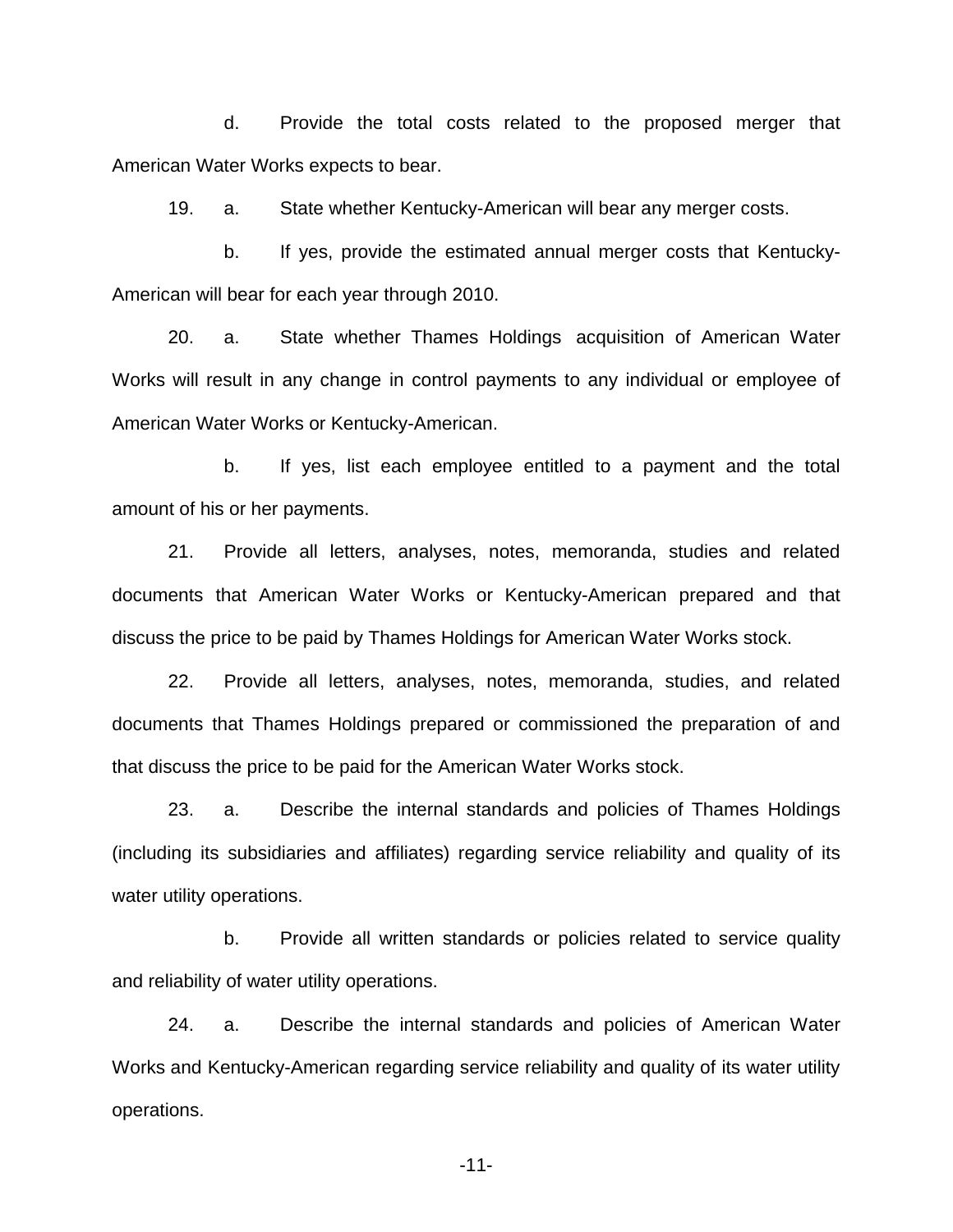d. Provide the total costs related to the proposed merger that American Water Works expects to bear.

19. a. State whether Kentucky-American will bear any merger costs.

b. If yes, provide the estimated annual merger costs that Kentucky-American will bear for each year through 2010.

20. a. State whether Thames Holdings acquisition of American Water Works will result in any change in control payments to any individual or employee of American Water Works or Kentucky-American.

b. If yes, list each employee entitled to a payment and the total amount of his or her payments.

21. Provide all letters, analyses, notes, memoranda, studies and related documents that American Water Works or Kentucky-American prepared and that discuss the price to be paid by Thames Holdings for American Water Works stock.

22. Provide all letters, analyses, notes, memoranda, studies, and related documents that Thames Holdings prepared or commissioned the preparation of and that discuss the price to be paid for the American Water Works stock.

23. a. Describe the internal standards and policies of Thames Holdings (including its subsidiaries and affiliates) regarding service reliability and quality of its water utility operations.

b. Provide all written standards or policies related to service quality and reliability of water utility operations.

24. a. Describe the internal standards and policies of American Water Works and Kentucky-American regarding service reliability and quality of its water utility operations.

-11-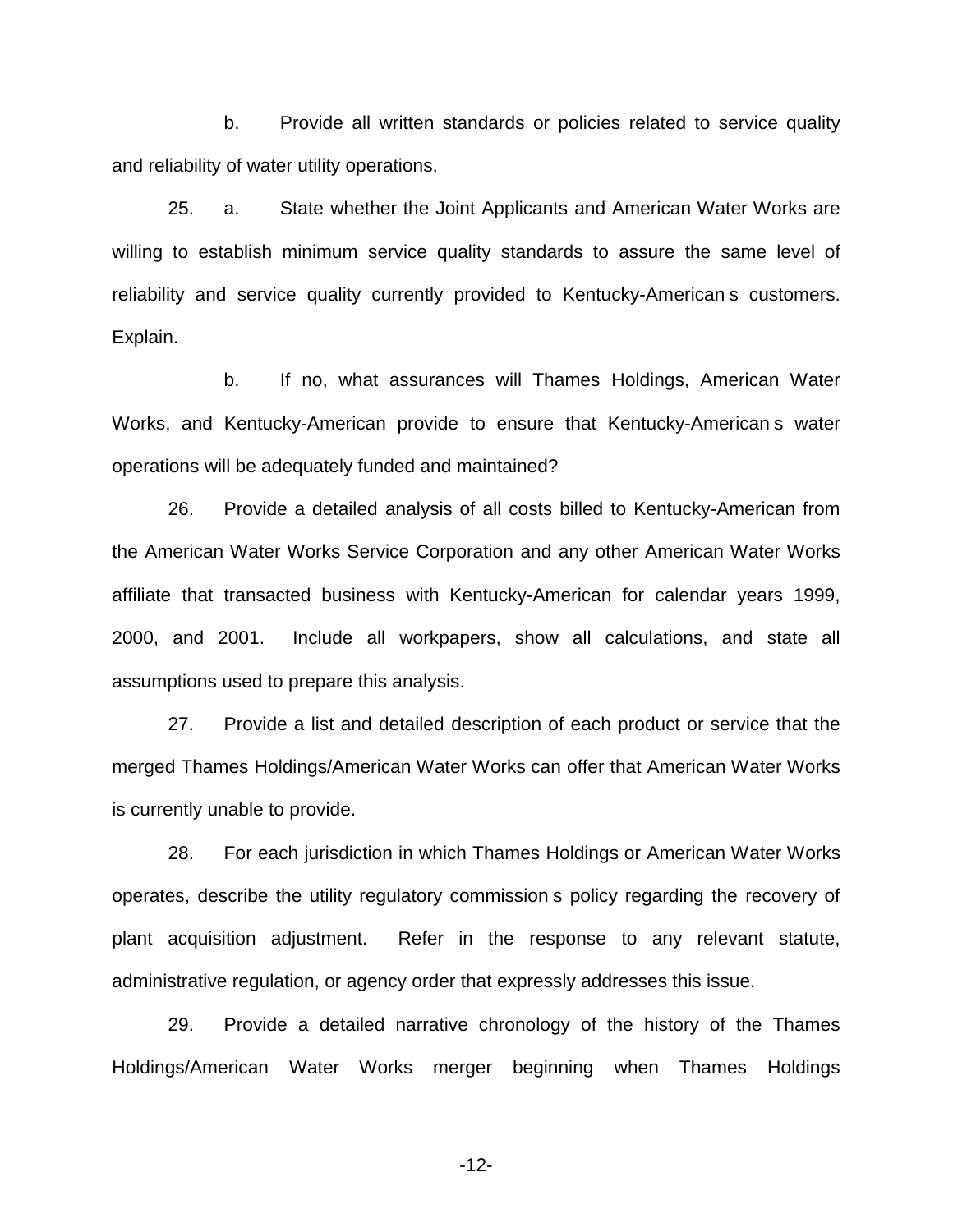b. Provide all written standards or policies related to service quality and reliability of water utility operations.

25. a. State whether the Joint Applicants and American Water Works are willing to establish minimum service quality standards to assure the same level of reliability and service quality currently provided to Kentucky-American s customers. Explain.

b. If no, what assurances will Thames Holdings, American Water Works, and Kentucky-American provide to ensure that Kentucky-American s water operations will be adequately funded and maintained?

26. Provide a detailed analysis of all costs billed to Kentucky-American from the American Water Works Service Corporation and any other American Water Works affiliate that transacted business with Kentucky-American for calendar years 1999, 2000, and 2001. Include all workpapers, show all calculations, and state all assumptions used to prepare this analysis.

27. Provide a list and detailed description of each product or service that the merged Thames Holdings/American Water Works can offer that American Water Works is currently unable to provide.

28. For each jurisdiction in which Thames Holdings or American Water Works operates, describe the utility regulatory commission s policy regarding the recovery of plant acquisition adjustment. Refer in the response to any relevant statute, administrative regulation, or agency order that expressly addresses this issue.

29. Provide a detailed narrative chronology of the history of the Thames Holdings/American Water Works merger beginning when Thames Holdings

-12-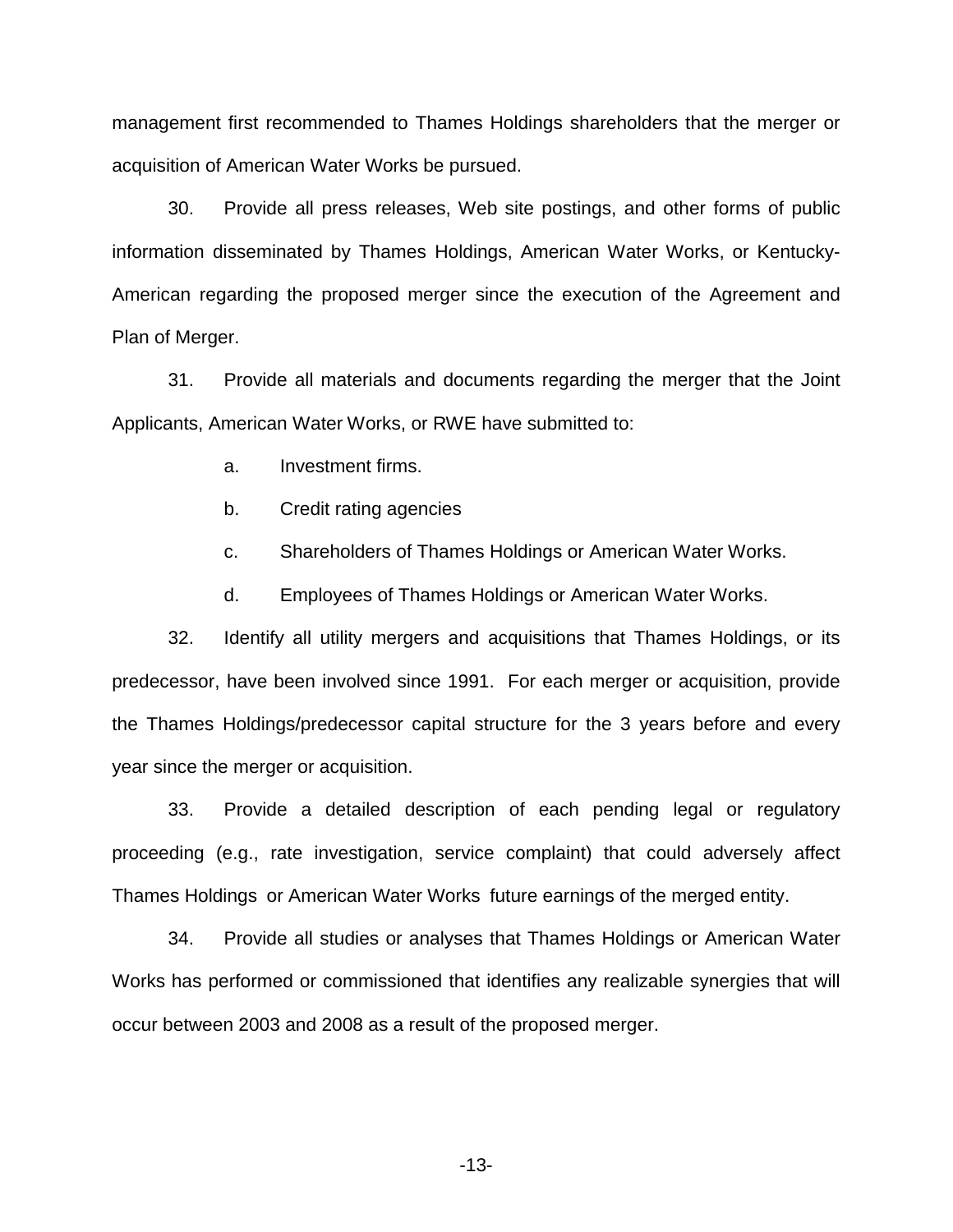management first recommended to Thames Holdings shareholders that the merger or acquisition of American Water Works be pursued.

30. Provide all press releases, Web site postings, and other forms of public information disseminated by Thames Holdings, American Water Works, or Kentucky-American regarding the proposed merger since the execution of the Agreement and Plan of Merger.

31. Provide all materials and documents regarding the merger that the Joint Applicants, American Water Works, or RWE have submitted to:

- a. Investment firms.
- b. Credit rating agencies
- c. Shareholders of Thames Holdings or American Water Works.
- d. Employees of Thames Holdings or American Water Works.

32. Identify all utility mergers and acquisitions that Thames Holdings, or its predecessor, have been involved since 1991. For each merger or acquisition, provide the Thames Holdings/predecessor capital structure for the 3 years before and every year since the merger or acquisition.

33. Provide a detailed description of each pending legal or regulatory proceeding (e.g., rate investigation, service complaint) that could adversely affect Thames Holdings or American Water Works future earnings of the merged entity.

34. Provide all studies or analyses that Thames Holdings or American Water Works has performed or commissioned that identifies any realizable synergies that will occur between 2003 and 2008 as a result of the proposed merger.

-13-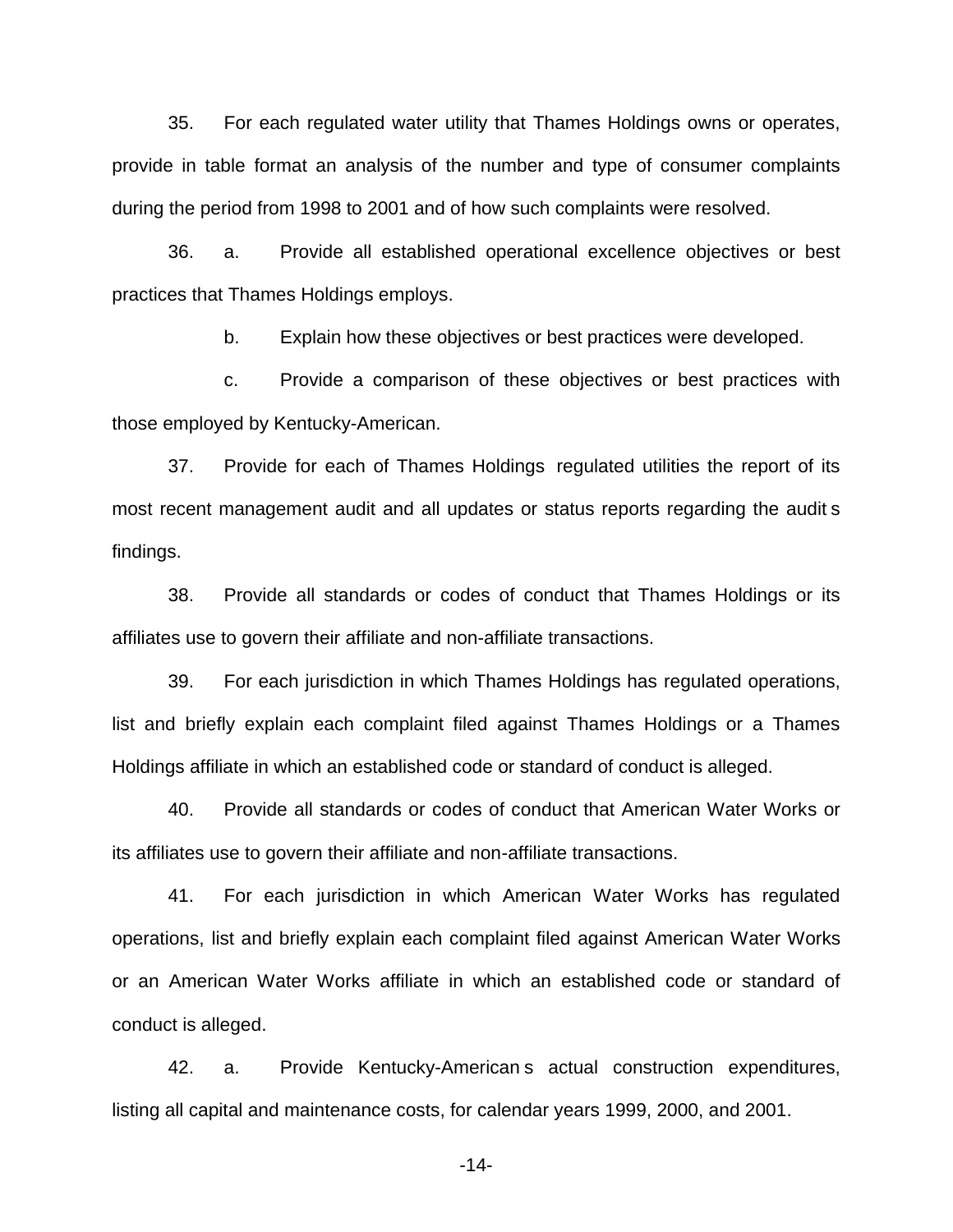35. For each regulated water utility that Thames Holdings owns or operates, provide in table format an analysis of the number and type of consumer complaints during the period from 1998 to 2001 and of how such complaints were resolved.

36. a. Provide all established operational excellence objectives or best practices that Thames Holdings employs.

b. Explain how these objectives or best practices were developed.

c. Provide a comparison of these objectives or best practices with those employed by Kentucky-American.

37. Provide for each of Thames Holdings regulated utilities the report of its most recent management audit and all updates or status reports regarding the audit s findings.

38. Provide all standards or codes of conduct that Thames Holdings or its affiliates use to govern their affiliate and non-affiliate transactions.

39. For each jurisdiction in which Thames Holdings has regulated operations, list and briefly explain each complaint filed against Thames Holdings or a Thames Holdings affiliate in which an established code or standard of conduct is alleged.

40. Provide all standards or codes of conduct that American Water Works or its affiliates use to govern their affiliate and non-affiliate transactions.

41. For each jurisdiction in which American Water Works has regulated operations, list and briefly explain each complaint filed against American Water Works or an American Water Works affiliate in which an established code or standard of conduct is alleged.

42. a. Provide Kentucky-American s actual construction expenditures, listing all capital and maintenance costs, for calendar years 1999, 2000, and 2001.

-14-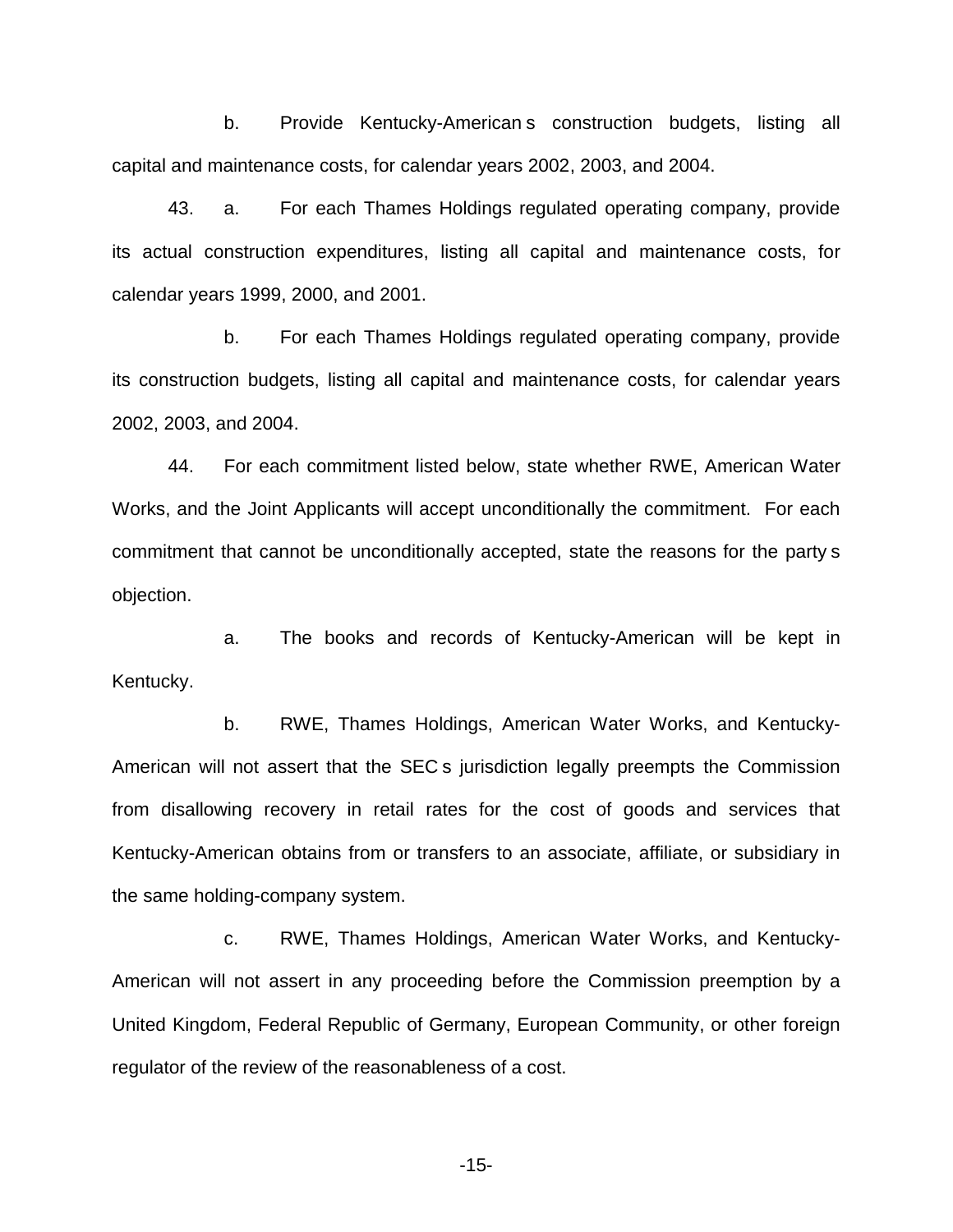b. Provide Kentucky-American s construction budgets, listing all capital and maintenance costs, for calendar years 2002, 2003, and 2004.

43. a. For each Thames Holdings regulated operating company, provide its actual construction expenditures, listing all capital and maintenance costs, for calendar years 1999, 2000, and 2001.

b. For each Thames Holdings regulated operating company, provide its construction budgets, listing all capital and maintenance costs, for calendar years 2002, 2003, and 2004.

44. For each commitment listed below, state whether RWE, American Water Works, and the Joint Applicants will accept unconditionally the commitment. For each commitment that cannot be unconditionally accepted, state the reasons for the party s objection.

a. The books and records of Kentucky-American will be kept in Kentucky.

b. RWE, Thames Holdings, American Water Works, and Kentucky-American will not assert that the SEC s jurisdiction legally preempts the Commission from disallowing recovery in retail rates for the cost of goods and services that Kentucky-American obtains from or transfers to an associate, affiliate, or subsidiary in the same holding-company system.

c. RWE, Thames Holdings, American Water Works, and Kentucky-American will not assert in any proceeding before the Commission preemption by a United Kingdom, Federal Republic of Germany, European Community, or other foreign regulator of the review of the reasonableness of a cost.

-15-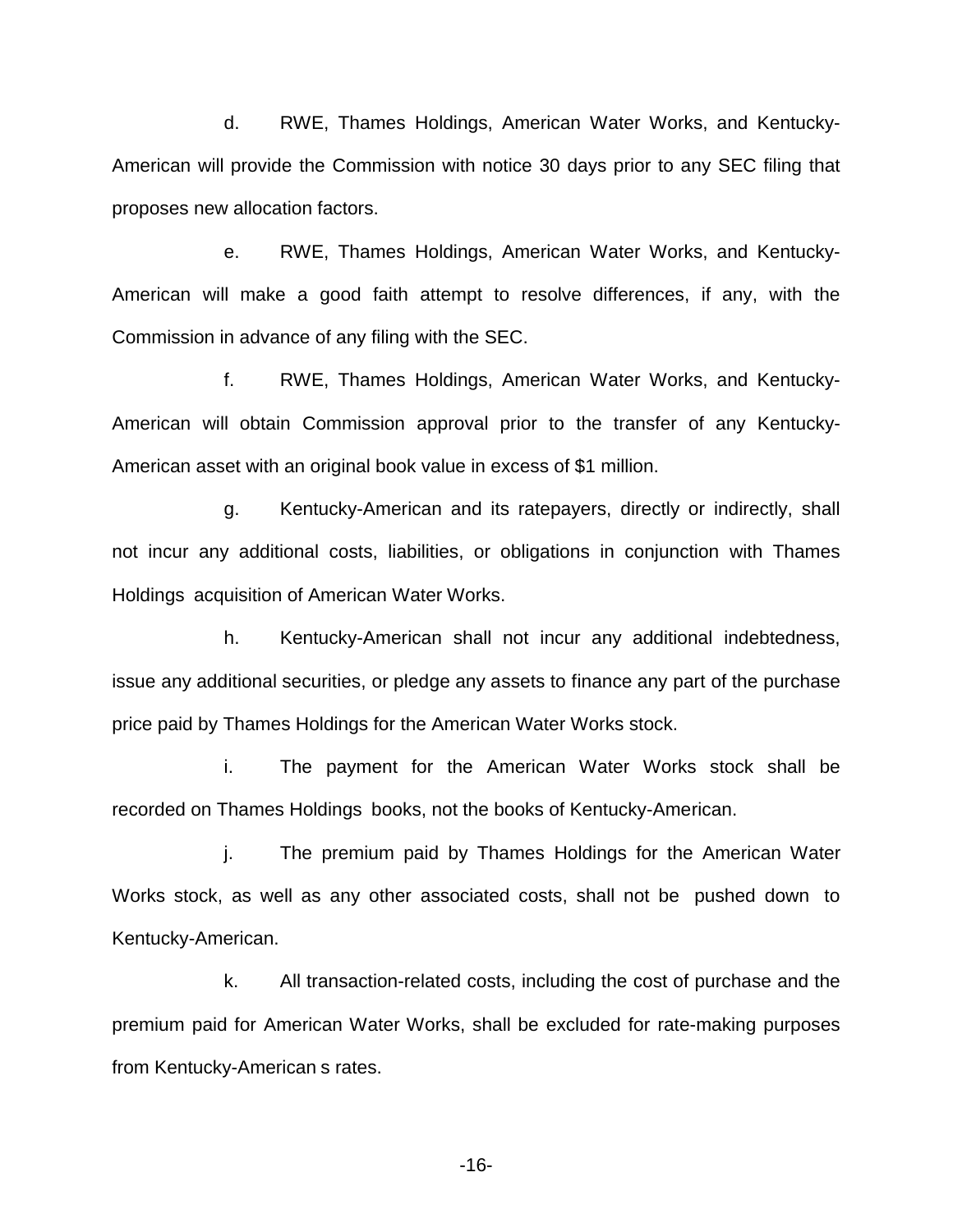d. RWE, Thames Holdings, American Water Works, and Kentucky-American will provide the Commission with notice 30 days prior to any SEC filing that proposes new allocation factors.

e. RWE, Thames Holdings, American Water Works, and Kentucky-American will make a good faith attempt to resolve differences, if any, with the Commission in advance of any filing with the SEC.

f. RWE, Thames Holdings, American Water Works, and Kentucky-American will obtain Commission approval prior to the transfer of any Kentucky-American asset with an original book value in excess of \$1 million.

g. Kentucky-American and its ratepayers, directly or indirectly, shall not incur any additional costs, liabilities, or obligations in conjunction with Thames Holdings acquisition of American Water Works.

h. Kentucky-American shall not incur any additional indebtedness, issue any additional securities, or pledge any assets to finance any part of the purchase price paid by Thames Holdings for the American Water Works stock.

i. The payment for the American Water Works stock shall be recorded on Thames Holdings books, not the books of Kentucky-American.

j. The premium paid by Thames Holdings for the American Water Works stock, as well as any other associated costs, shall not be pushed down to Kentucky-American.

k. All transaction-related costs, including the cost of purchase and the premium paid for American Water Works, shall be excluded for rate-making purposes from Kentucky-American s rates.

-16-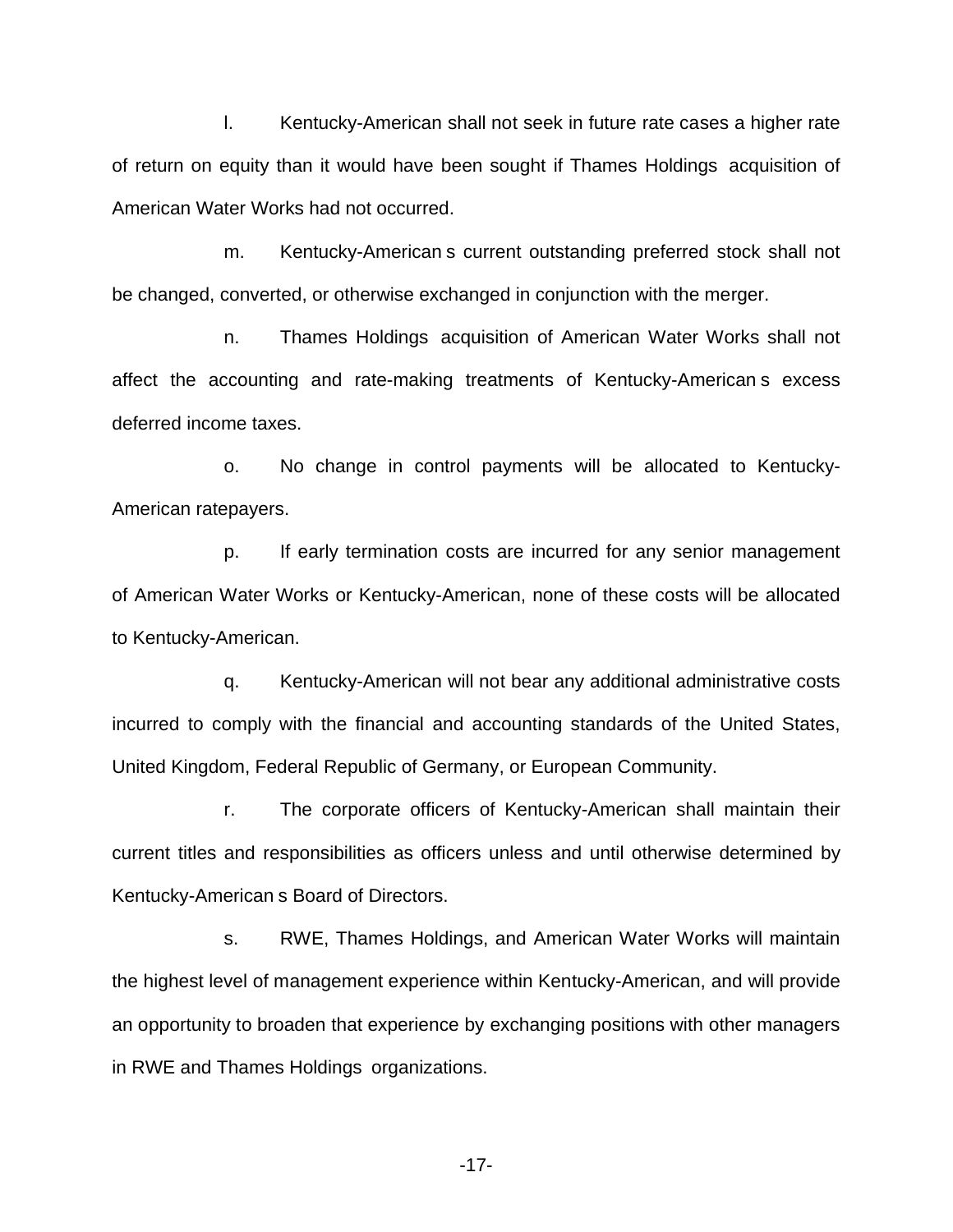l. Kentucky-American shall not seek in future rate cases a higher rate of return on equity than it would have been sought if Thames Holdings acquisition of American Water Works had not occurred.

m. Kentucky-American s current outstanding preferred stock shall not be changed, converted, or otherwise exchanged in conjunction with the merger.

n. Thames Holdings acquisition of American Water Works shall not affect the accounting and rate-making treatments of Kentucky-American s excess deferred income taxes.

o. No change in control payments will be allocated to Kentucky-American ratepayers.

p. If early termination costs are incurred for any senior management of American Water Works or Kentucky-American, none of these costs will be allocated to Kentucky-American.

q. Kentucky-American will not bear any additional administrative costs incurred to comply with the financial and accounting standards of the United States, United Kingdom, Federal Republic of Germany, or European Community.

r. The corporate officers of Kentucky-American shall maintain their current titles and responsibilities as officers unless and until otherwise determined by Kentucky-American s Board of Directors.

s. RWE, Thames Holdings, and American Water Works will maintain the highest level of management experience within Kentucky-American, and will provide an opportunity to broaden that experience by exchanging positions with other managers in RWE and Thames Holdings organizations.

-17-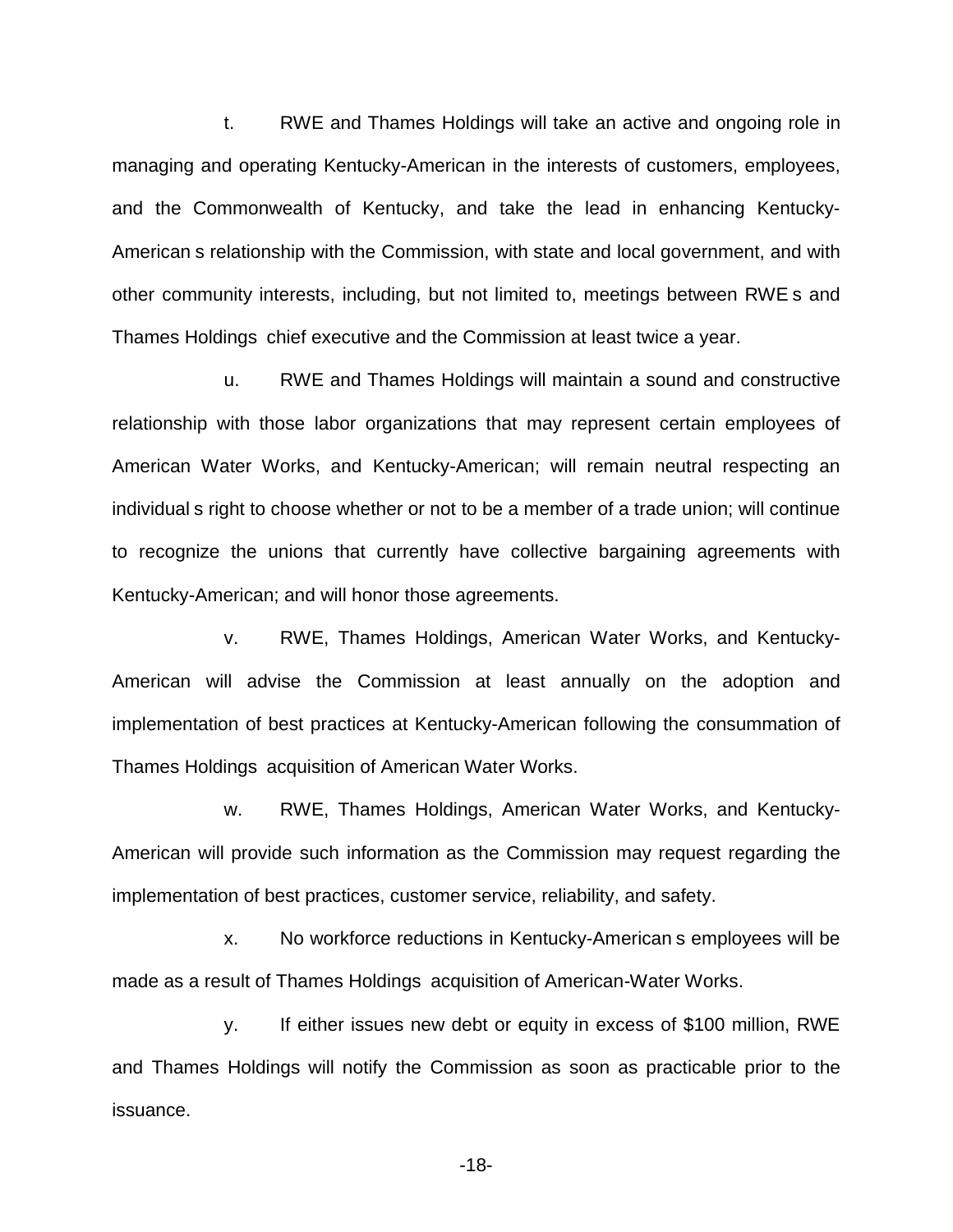t. RWE and Thames Holdings will take an active and ongoing role in managing and operating Kentucky-American in the interests of customers, employees, and the Commonwealth of Kentucky, and take the lead in enhancing Kentucky-American s relationship with the Commission, with state and local government, and with other community interests, including, but not limited to, meetings between RWE s and Thames Holdings chief executive and the Commission at least twice a year.

u. RWE and Thames Holdings will maintain a sound and constructive relationship with those labor organizations that may represent certain employees of American Water Works, and Kentucky-American; will remain neutral respecting an individual s right to choose whether or not to be a member of a trade union; will continue to recognize the unions that currently have collective bargaining agreements with Kentucky-American; and will honor those agreements.

v. RWE, Thames Holdings, American Water Works, and Kentucky-American will advise the Commission at least annually on the adoption and implementation of best practices at Kentucky-American following the consummation of Thames Holdings acquisition of American Water Works.

w. RWE, Thames Holdings, American Water Works, and Kentucky-American will provide such information as the Commission may request regarding the implementation of best practices, customer service, reliability, and safety.

x. No workforce reductions in Kentucky-American s employees will be made as a result of Thames Holdings acquisition of American-Water Works.

y. If either issues new debt or equity in excess of \$100 million, RWE and Thames Holdings will notify the Commission as soon as practicable prior to the issuance.

-18-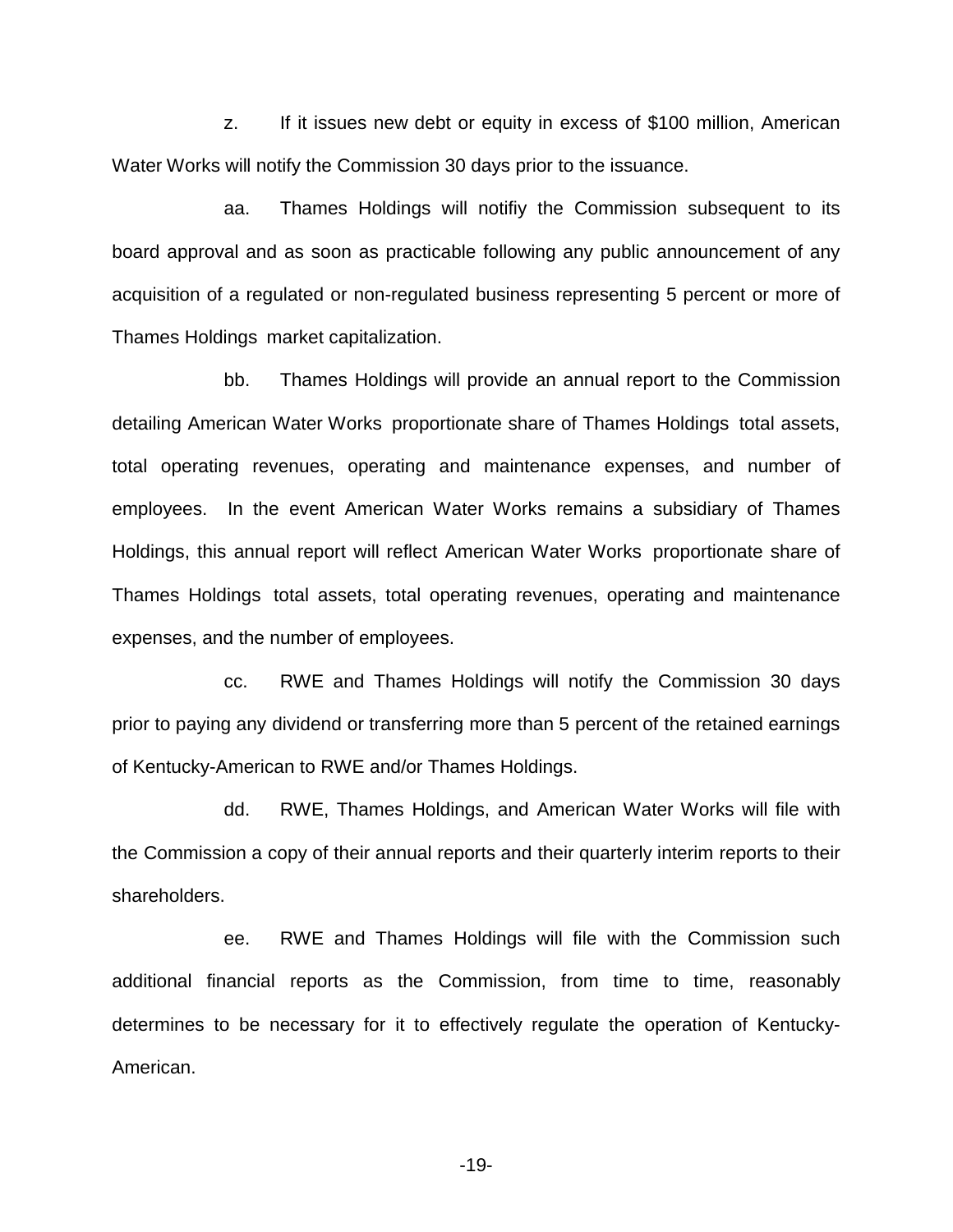z. If it issues new debt or equity in excess of \$100 million, American Water Works will notify the Commission 30 days prior to the issuance.

aa. Thames Holdings will notifiy the Commission subsequent to its board approval and as soon as practicable following any public announcement of any acquisition of a regulated or non-regulated business representing 5 percent or more of Thames Holdings market capitalization.

bb. Thames Holdings will provide an annual report to the Commission detailing American Water Works proportionate share of Thames Holdings total assets, total operating revenues, operating and maintenance expenses, and number of employees. In the event American Water Works remains a subsidiary of Thames Holdings, this annual report will reflect American Water Works proportionate share of Thames Holdings total assets, total operating revenues, operating and maintenance expenses, and the number of employees.

cc. RWE and Thames Holdings will notify the Commission 30 days prior to paying any dividend or transferring more than 5 percent of the retained earnings of Kentucky-American to RWE and/or Thames Holdings.

dd. RWE, Thames Holdings, and American Water Works will file with the Commission a copy of their annual reports and their quarterly interim reports to their shareholders.

ee. RWE and Thames Holdings will file with the Commission such additional financial reports as the Commission, from time to time, reasonably determines to be necessary for it to effectively regulate the operation of Kentucky-American.

-19-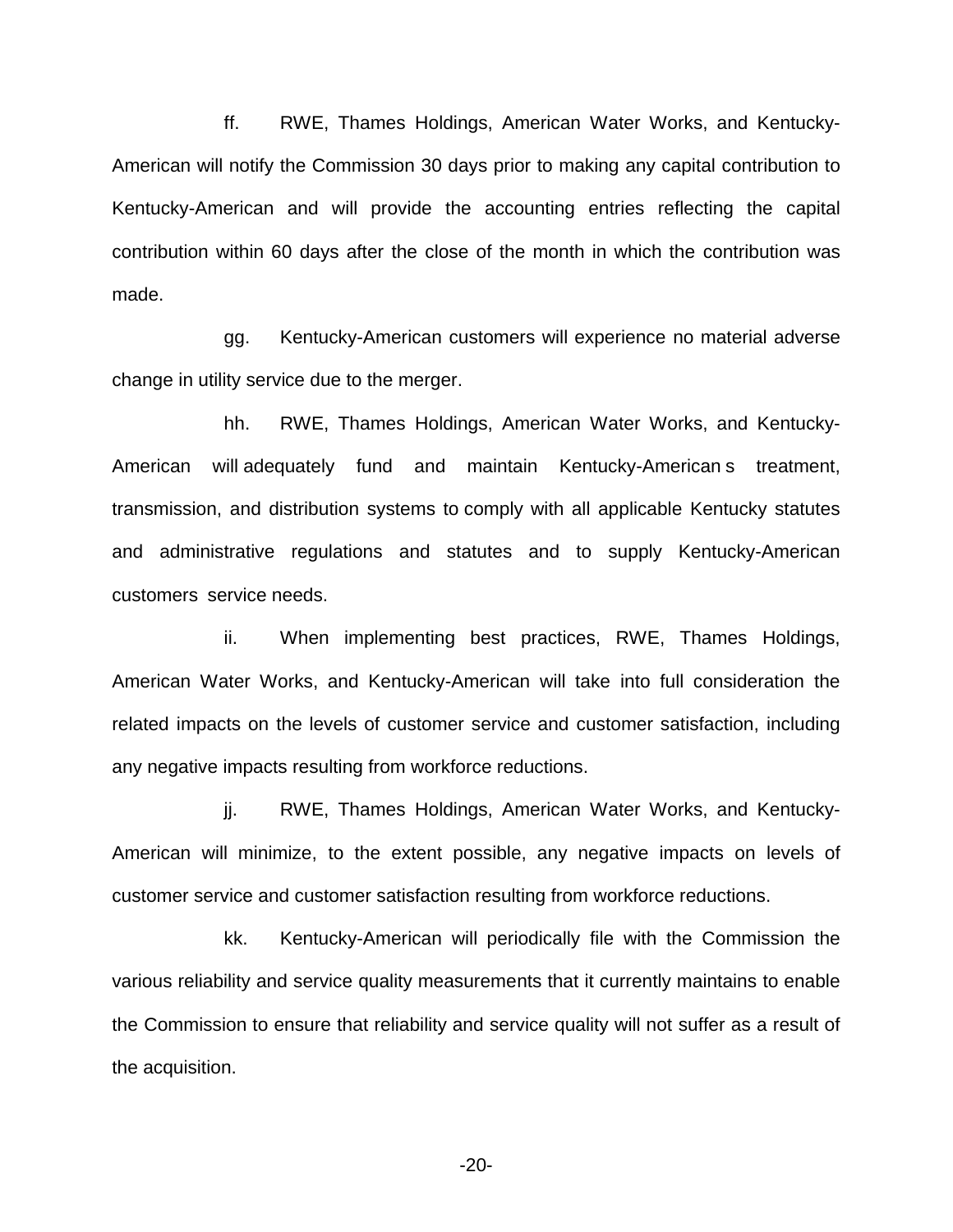ff. RWE, Thames Holdings, American Water Works, and Kentucky-American will notify the Commission 30 days prior to making any capital contribution to Kentucky-American and will provide the accounting entries reflecting the capital contribution within 60 days after the close of the month in which the contribution was made.

gg. Kentucky-American customers will experience no material adverse change in utility service due to the merger.

hh. RWE, Thames Holdings, American Water Works, and Kentucky-American will adequately fund and maintain Kentucky-American s treatment, transmission, and distribution systems to comply with all applicable Kentucky statutes and administrative regulations and statutes and to supply Kentucky-American customers service needs.

ii. When implementing best practices, RWE, Thames Holdings, American Water Works, and Kentucky-American will take into full consideration the related impacts on the levels of customer service and customer satisfaction, including any negative impacts resulting from workforce reductions.

jj. RWE, Thames Holdings, American Water Works, and Kentucky-American will minimize, to the extent possible, any negative impacts on levels of customer service and customer satisfaction resulting from workforce reductions.

kk. Kentucky-American will periodically file with the Commission the various reliability and service quality measurements that it currently maintains to enable the Commission to ensure that reliability and service quality will not suffer as a result of the acquisition.

-20-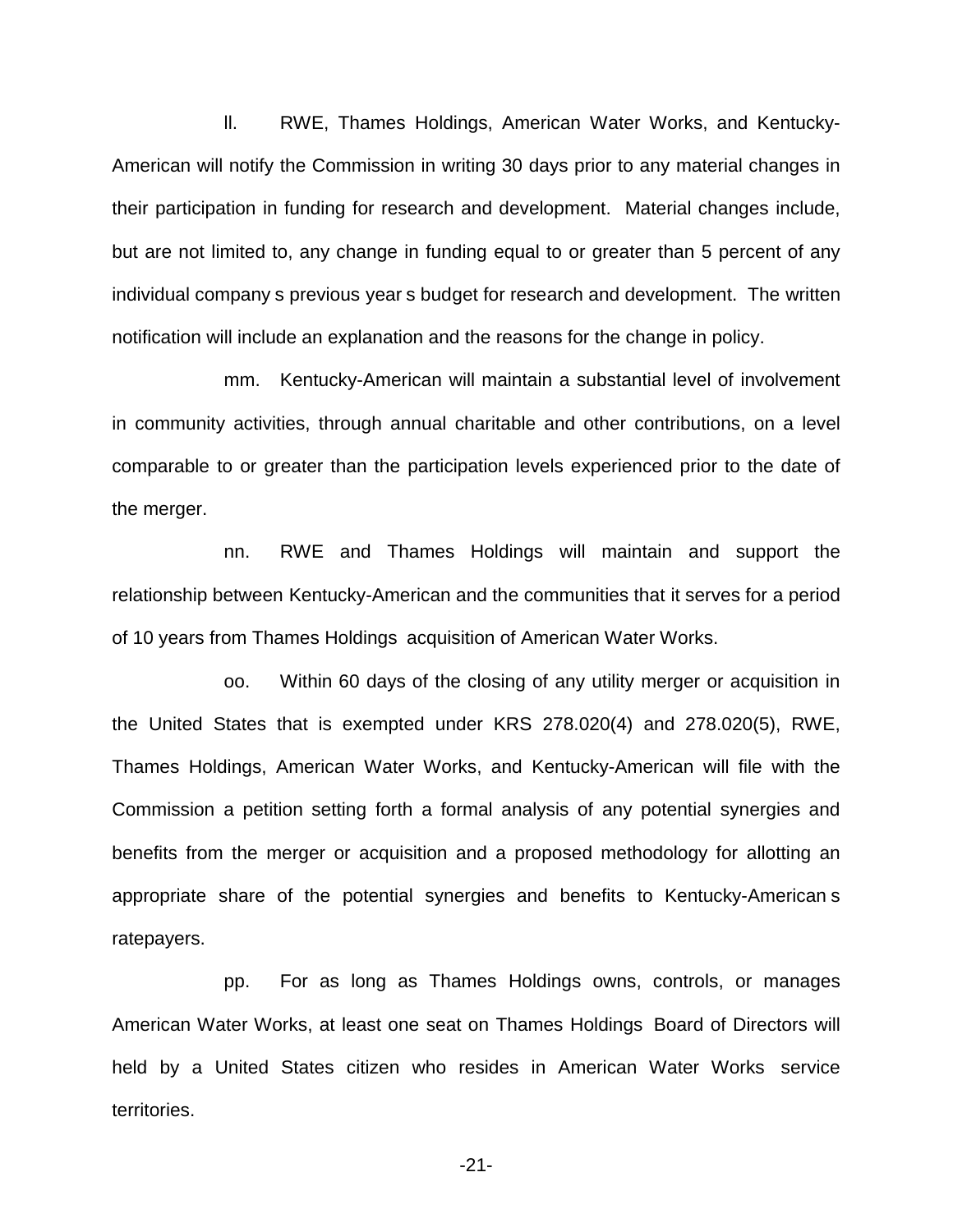ll. RWE, Thames Holdings, American Water Works, and Kentucky-American will notify the Commission in writing 30 days prior to any material changes in their participation in funding for research and development. Material changes include, but are not limited to, any change in funding equal to or greater than 5 percent of any individual company s previous year s budget for research and development. The written notification will include an explanation and the reasons for the change in policy.

mm. Kentucky-American will maintain a substantial level of involvement in community activities, through annual charitable and other contributions, on a level comparable to or greater than the participation levels experienced prior to the date of the merger.

nn. RWE and Thames Holdings will maintain and support the relationship between Kentucky-American and the communities that it serves for a period of 10 years from Thames Holdings acquisition of American Water Works.

oo. Within 60 days of the closing of any utility merger or acquisition in the United States that is exempted under KRS 278.020(4) and 278.020(5), RWE, Thames Holdings, American Water Works, and Kentucky-American will file with the Commission a petition setting forth a formal analysis of any potential synergies and benefits from the merger or acquisition and a proposed methodology for allotting an appropriate share of the potential synergies and benefits to Kentucky-American s ratepayers.

pp. For as long as Thames Holdings owns, controls, or manages American Water Works, at least one seat on Thames Holdings Board of Directors will held by a United States citizen who resides in American Water Works service territories.

-21-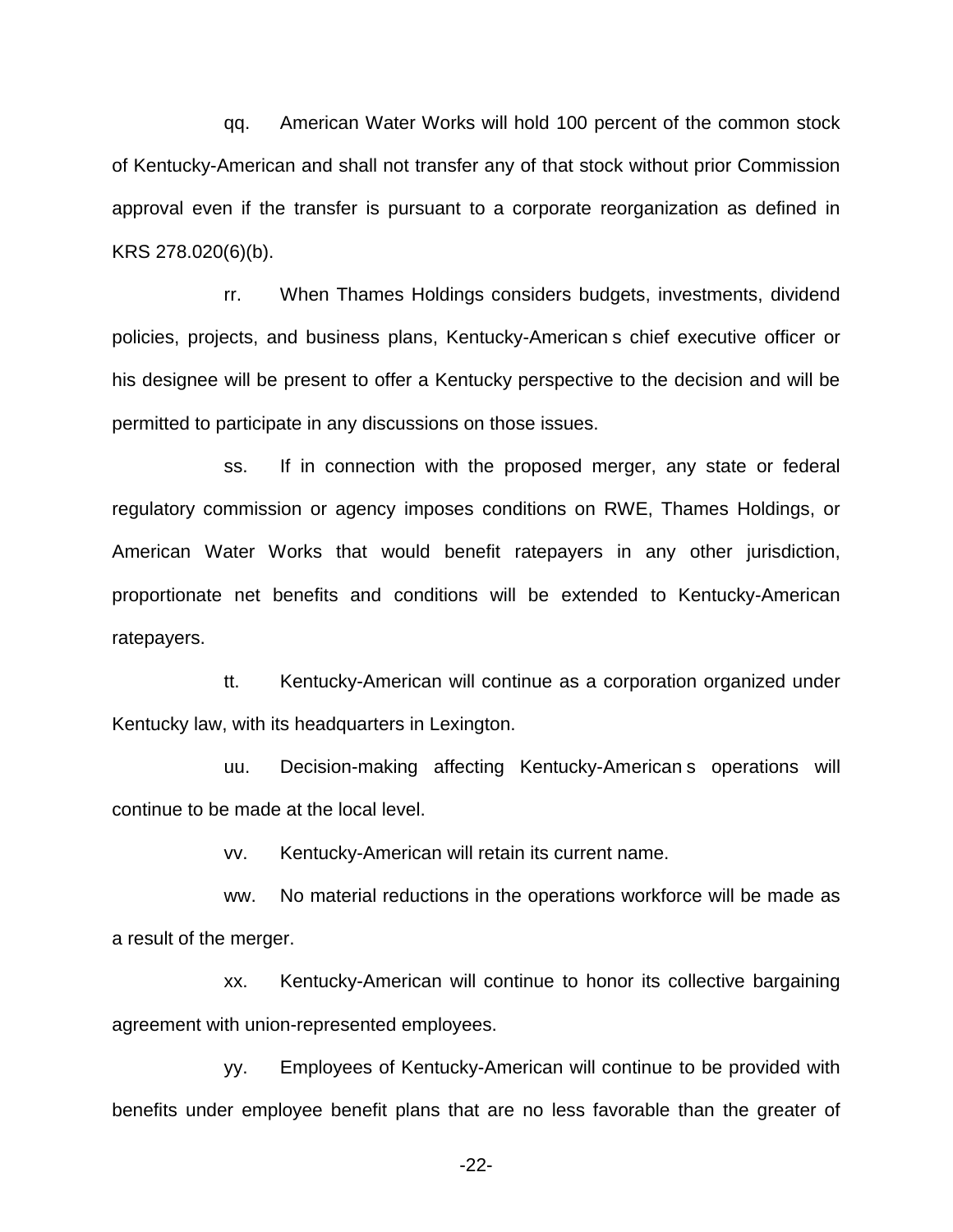qq. American Water Works will hold 100 percent of the common stock of Kentucky-American and shall not transfer any of that stock without prior Commission approval even if the transfer is pursuant to a corporate reorganization as defined in KRS 278.020(6)(b).

rr. When Thames Holdings considers budgets, investments, dividend policies, projects, and business plans, Kentucky-American s chief executive officer or his designee will be present to offer a Kentucky perspective to the decision and will be permitted to participate in any discussions on those issues.

ss. If in connection with the proposed merger, any state or federal regulatory commission or agency imposes conditions on RWE, Thames Holdings, or American Water Works that would benefit ratepayers in any other jurisdiction, proportionate net benefits and conditions will be extended to Kentucky-American ratepayers.

tt. Kentucky-American will continue as a corporation organized under Kentucky law, with its headquarters in Lexington.

uu. Decision-making affecting Kentucky-American s operations will continue to be made at the local level.

vv. Kentucky-American will retain its current name.

ww. No material reductions in the operations workforce will be made as a result of the merger.

xx. Kentucky-American will continue to honor its collective bargaining agreement with union-represented employees.

yy. Employees of Kentucky-American will continue to be provided with benefits under employee benefit plans that are no less favorable than the greater of

-22-